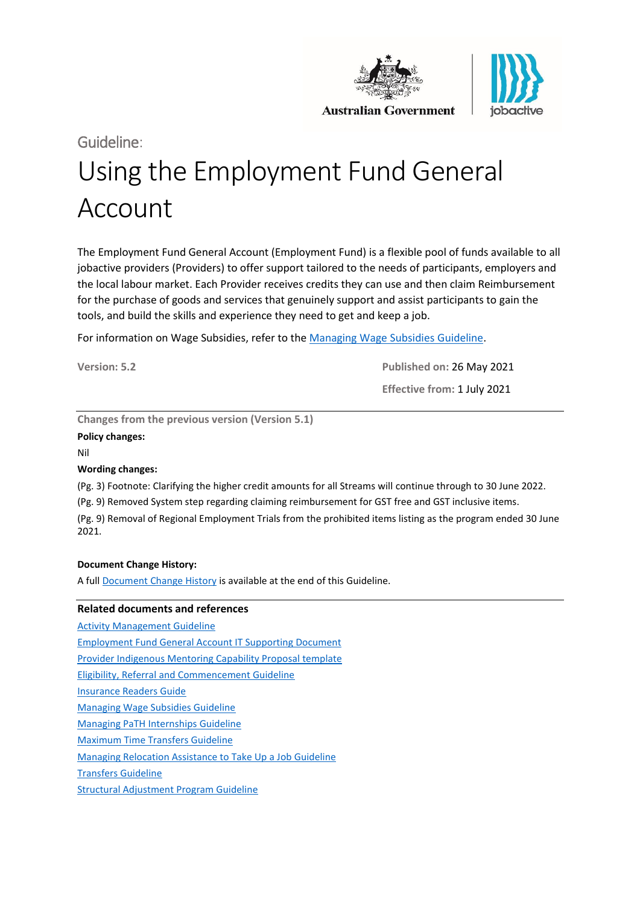



**Australian Government** 

# Guideline: Using the Employment Fund General Account

The Employment Fund General Account (Employment Fund) is a flexible pool of funds available to all jobactive providers (Providers) to offer support tailored to the needs of participants, employers and the local labour market. Each Provider receives credits they can use and then claim Reimbursement for the purchase of goods and services that genuinely support and assist participants to gain the tools, and build the skills and experience they need to get and keep a job.

For information on Wage Subsidies, refer to th[e Managing Wage Subsidies Guideline.](https://ecsnaccessintranet.hosts.application.enet/ProviderPortal/jobactive/Guidelines/Pages/Employment-Fund-and-Subsidies.aspx)

**Version: 5.2 Published on:** 26 May 2021

**Effective from:** 1 July 2021

**Changes from the previous version (Version 5.1)**

#### **Policy changes:**

Nil

#### **Wording changes:**

(Pg. 3) Footnote: Clarifying the higher credit amounts for all Streams will continue through to 30 June 2022.

(Pg. 9) Removed System step regarding claiming reimbursement for GST free and GST inclusive items.

(Pg. 9) Removal of Regional Employment Trials from the prohibited items listing as the program ended 30 June 2021.

#### **Document Change History:**

A full [Document Change History](#page-24-0) is available at the end of this Guideline.

#### **Related documents and references**

[Activity Management Guideline](https://ecsnaccessintranet.hosts.application.enet/ProviderPortal/jobactive/Guidelines/Pages/Participation-and-Compliance-Framework.aspx) [Employment Fund General Account IT Supporting Document](https://ecsnaccessintranet.hosts.application.enet/ProviderPortal/jobactive/Guidelines/Pages/Employment-Fund-and-Subsidies.aspx) [Provider Indigenous Mentoring Capability Proposal template](https://ecsnaccessintranet.hosts.application.enet/ProviderPortal/jobactive/Guidelines/Pages/Employment-Fund-and-Subsidies.aspx) [Eligibility, Referral and Commencement Guideline](https://ecsnaccessintranet.hosts.application.enet/ProviderPortal/jobactive/Guidelines/Pages/Servicing.aspx) [Insurance Readers Guide](https://ecsnaccessintranet.hosts.application.enet/ProviderPortal/jobactive/ProviderOperations/Pages/Insurance.aspx) [Managing Wage Subsidies Guideline](https://ecsnaccessintranet.hosts.application.enet/ProviderPortal/jobactive/Guidelines/Pages/Employment-Fund-and-Subsidies.aspx) [Managing PaTH Internships Guideline](https://ecsnaccessintranet.hosts.application.enet/ProviderPortal/jobactive/Guidelines/Pages/Youth-Jobs-PaTH.aspx) [Maximum Time Transfers Guideline](https://ecsnaccessintranet.hosts.application.enet/ProviderPortal/jobactive/Guidelines/Pages/Servicing.aspx) [Managing Relocation Assistance to Take Up a Job Guideline](https://ecsnaccessintranet.hosts.application.enet/ProviderPortal/jobactive/Guidelines/Pages/Employment-Fund-and-Subsidies.aspx) [Transfers Guideline](https://ecsnaccessintranet.hosts.application.enet/ProviderPortal/jobactive/Guidelines/Pages/Servicing.aspx) [Structural Adjustment Program Guideline](https://ecsnaccessintranet.hosts.application.enet/ProviderPortal/jobactive/Guidelines/Pages/Adjustment-Packages.aspx)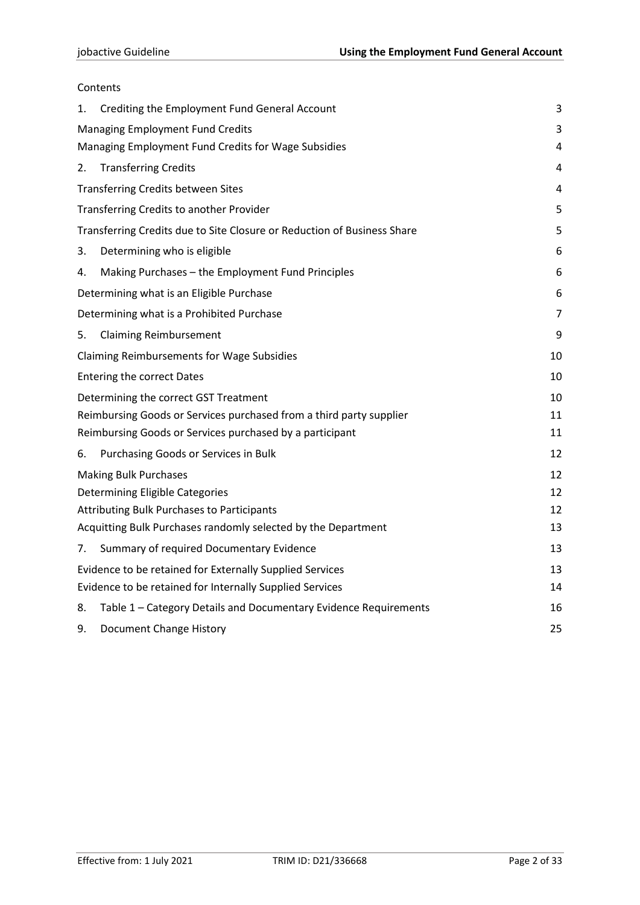### Contents

| 1.                              | Crediting the Employment Fund General Account                           | 3  |  |  |
|---------------------------------|-------------------------------------------------------------------------|----|--|--|
|                                 | <b>Managing Employment Fund Credits</b>                                 | 3  |  |  |
|                                 | Managing Employment Fund Credits for Wage Subsidies                     | 4  |  |  |
| 2.                              | <b>Transferring Credits</b>                                             | 4  |  |  |
|                                 | <b>Transferring Credits between Sites</b>                               | 4  |  |  |
|                                 | Transferring Credits to another Provider                                | 5  |  |  |
|                                 | Transferring Credits due to Site Closure or Reduction of Business Share | 5  |  |  |
| 3.                              | Determining who is eligible                                             | 6  |  |  |
| 4.                              | Making Purchases - the Employment Fund Principles                       | 6  |  |  |
|                                 | Determining what is an Eligible Purchase                                | 6  |  |  |
|                                 | Determining what is a Prohibited Purchase                               | 7  |  |  |
| 5.                              | <b>Claiming Reimbursement</b>                                           | 9  |  |  |
|                                 | <b>Claiming Reimbursements for Wage Subsidies</b>                       | 10 |  |  |
|                                 | <b>Entering the correct Dates</b>                                       | 10 |  |  |
|                                 | Determining the correct GST Treatment                                   | 10 |  |  |
|                                 | Reimbursing Goods or Services purchased from a third party supplier     | 11 |  |  |
|                                 | Reimbursing Goods or Services purchased by a participant                | 11 |  |  |
| 6.                              | Purchasing Goods or Services in Bulk                                    | 12 |  |  |
|                                 | <b>Making Bulk Purchases</b>                                            | 12 |  |  |
| Determining Eligible Categories |                                                                         |    |  |  |
|                                 | <b>Attributing Bulk Purchases to Participants</b>                       |    |  |  |
|                                 | Acquitting Bulk Purchases randomly selected by the Department           | 13 |  |  |
| 7.                              | Summary of required Documentary Evidence                                | 13 |  |  |
|                                 | Evidence to be retained for Externally Supplied Services                | 13 |  |  |
|                                 | Evidence to be retained for Internally Supplied Services                | 14 |  |  |
| 8.                              | Table 1 - Category Details and Documentary Evidence Requirements        | 16 |  |  |
| 9.                              | Document Change History                                                 | 25 |  |  |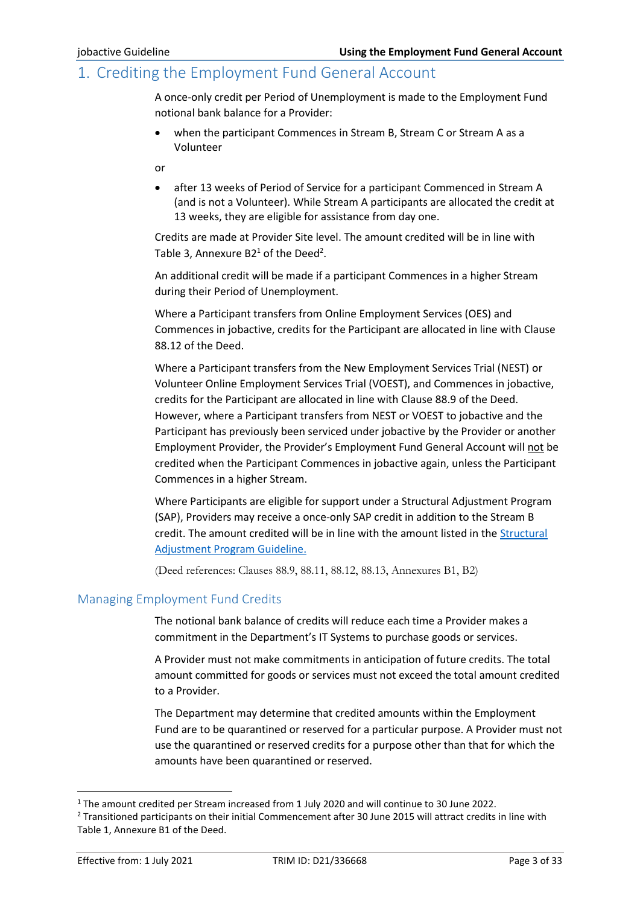## <span id="page-2-0"></span>1. Crediting the Employment Fund General Account

A once-only credit per Period of Unemployment is made to the Employment Fund notional bank balance for a Provider:

• when the participant Commences in Stream B, Stream C or Stream A as a Volunteer

or

• after 13 weeks of Period of Service for a participant Commenced in Stream A (and is not a Volunteer). While Stream A participants are allocated the credit at 13 weeks, they are eligible for assistance from day one.

Credits are made at Provider Site level. The amount credited will be in line with Table 3, Annexure B2<sup>1</sup> of the Deed<sup>2</sup>.

An additional credit will be made if a participant Commences in a higher Stream during their Period of Unemployment.

Where a Participant transfers from Online Employment Services (OES) and Commences in jobactive, credits for the Participant are allocated in line with Clause 88.12 of the Deed.

Where a Participant transfers from the New Employment Services Trial (NEST) or Volunteer Online Employment Services Trial (VOEST), and Commences in jobactive, credits for the Participant are allocated in line with Clause 88.9 of the Deed. However, where a Participant transfers from NEST or VOEST to jobactive and the Participant has previously been serviced under jobactive by the Provider or another Employment Provider, the Provider's Employment Fund General Account will not be credited when the Participant Commences in jobactive again, unless the Participant Commences in a higher Stream.

Where Participants are eligible for support under a Structural Adjustment Program (SAP), Providers may receive a once-only SAP credit in addition to the Stream B credit. The amount credited will be in line with the amount listed in the [Structural](https://ecsnaccessintranet.hosts.application.enet/ProviderPortal/jobactive/Guidelines/Pages/Adjustment-Packages.aspx)  [Adjustment Program Guideline.](https://ecsnaccessintranet.hosts.application.enet/ProviderPortal/jobactive/Guidelines/Pages/Adjustment-Packages.aspx)

(Deed references: Clauses 88.9, 88.11, 88.12, 88.13, Annexures B1, B2)

#### <span id="page-2-1"></span>Managing Employment Fund Credits

The notional bank balance of credits will reduce each time a Provider makes a commitment in the Department's IT Systems to purchase goods or services.

A Provider must not make commitments in anticipation of future credits. The total amount committed for goods or services must not exceed the total amount credited to a Provider.

The Department may determine that credited amounts within the Employment Fund are to be quarantined or reserved for a particular purpose. A Provider must not use the quarantined or reserved credits for a purpose other than that for which the amounts have been quarantined or reserved.

<sup>1</sup> The amount credited per Stream increased from 1 July 2020 and will continue to 30 June 2022.

<sup>2</sup> Transitioned participants on their initial Commencement after 30 June 2015 will attract credits in line with Table 1, Annexure B1 of the Deed.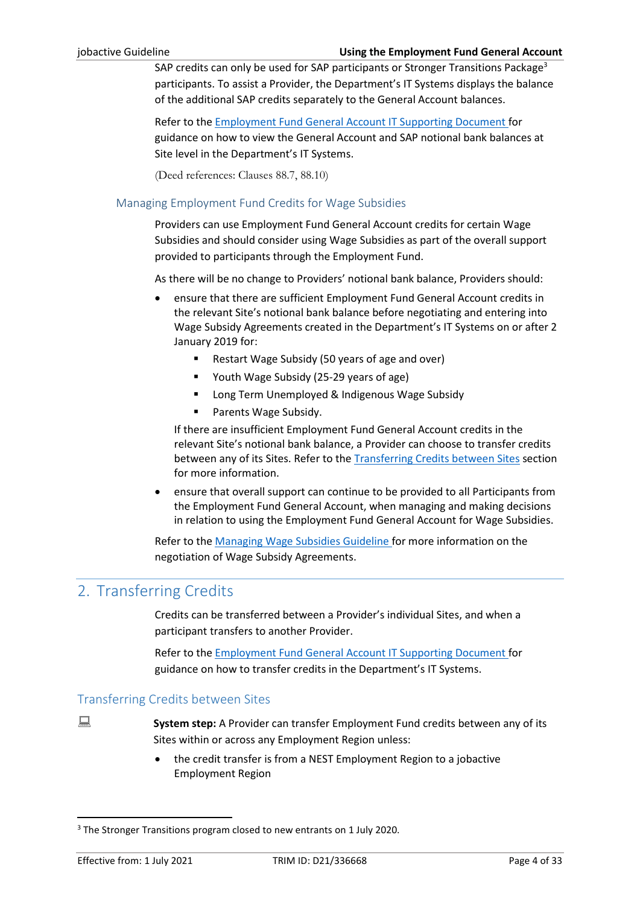SAP credits can only be used for SAP participants or Stronger Transitions Package<sup>3</sup> participants. To assist a Provider, the Department's IT Systems displays the balance of the additional SAP credits separately to the General Account balances.

Refer to the [Employment Fund General Account IT Supporting Document](https://ecsnaccessintranet.hosts.application.enet/ProviderPortal/jobactive/Guidelines/Pages/Employment-Fund-and-Subsidies.aspx) for guidance on how to view the General Account and SAP notional bank balances at Site level in the Department's IT Systems.

(Deed references: Clauses 88.7, 88.10)

#### <span id="page-3-0"></span>Managing Employment Fund Credits for Wage Subsidies

Providers can use Employment Fund General Account credits for certain Wage Subsidies and should consider using Wage Subsidies as part of the overall support provided to participants through the Employment Fund.

As there will be no change to Providers' notional bank balance, Providers should:

- ensure that there are sufficient Employment Fund General Account credits in the relevant Site's notional bank balance before negotiating and entering into Wage Subsidy Agreements created in the Department's IT Systems on or after 2 January 2019 for:
	- Restart Wage Subsidy (50 years of age and over)
	- Youth Wage Subsidy (25-29 years of age)
	- Long Term Unemployed & Indigenous Wage Subsidy
	- Parents Wage Subsidy.

If there are insufficient Employment Fund General Account credits in the relevant Site's notional bank balance, a Provider can choose to transfer credits between any of its Sites. Refer to the **Transferring Credits between Sites** section for more information.

• ensure that overall support can continue to be provided to all Participants from the Employment Fund General Account, when managing and making decisions in relation to using the Employment Fund General Account for Wage Subsidies.

Refer to the [Managing Wage Subsidies Guideline](https://ecsnaccessintranet.hosts.application.enet/ProviderPortal/jobactive/Guidelines/Pages/Employment-Fund-and-Subsidies.aspx) for more information on the negotiation of Wage Subsidy Agreements.

# <span id="page-3-1"></span>2. Transferring Credits

Credits can be transferred between a Provider's individual Sites, and when a participant transfers to another Provider.

Refer to the [Employment Fund General Account IT Supporting Document](https://ecsnaccessintranet.hosts.application.enet/ProviderPortal/jobactive/Guidelines/Pages/Employment-Fund-and-Subsidies.aspx) for guidance on how to transfer credits in the Department's IT Systems.

#### <span id="page-3-2"></span>Transferring Credits between Sites

**System step:** A Provider can transfer Employment Fund credits between any of its Sites within or across any Employment Region unless:

> • the credit transfer is from a NEST Employment Region to a jobactive Employment Region

<sup>&</sup>lt;sup>3</sup> The Stronger Transitions program closed to new entrants on 1 July 2020.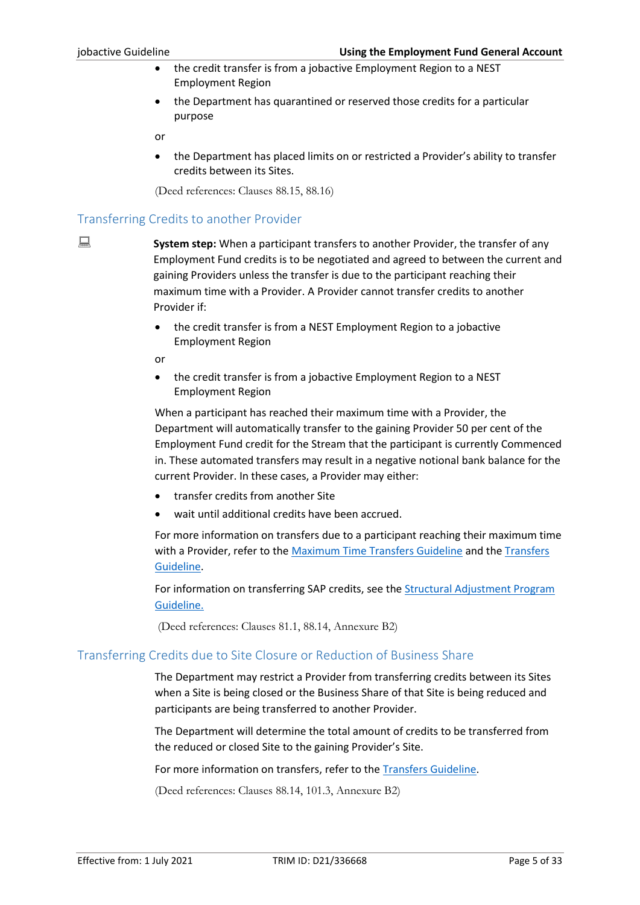- the credit transfer is from a jobactive Employment Region to a NEST Employment Region
- the Department has quarantined or reserved those credits for a particular purpose

or

• the Department has placed limits on or restricted a Provider's ability to transfer credits between its Sites.

(Deed references: Clauses 88.15, 88.16)

### <span id="page-4-0"></span>Transferring Credits to another Provider

**System step:** When a participant transfers to another Provider, the transfer of any Employment Fund credits is to be negotiated and agreed to between the current and gaining Providers unless the transfer is due to the participant reaching their maximum time with a Provider. A Provider cannot transfer credits to another Provider if:

> • the credit transfer is from a NEST Employment Region to a jobactive Employment Region

or

• the credit transfer is from a jobactive Employment Region to a NEST Employment Region

When a participant has reached their maximum time with a Provider, the Department will automatically transfer to the gaining Provider 50 per cent of the Employment Fund credit for the Stream that the participant is currently Commenced in. These automated transfers may result in a negative notional bank balance for the current Provider. In these cases, a Provider may either:

- transfer credits from another Site
- wait until additional credits have been accrued.

For more information on transfers due to a participant reaching their maximum time with a Provider, refer to the [Maximum Time Transfers Guideline](https://ecsnaccessintranet.hosts.application.enet/ProviderPortal/jobactive/Guidelines/Pages/Servicing.aspx) and th[e Transfers](https://ecsnaccessintranet.hosts.application.enet/ProviderPortal/jobactive/Guidelines/Pages/Servicing.aspx)  [Guideline.](https://ecsnaccessintranet.hosts.application.enet/ProviderPortal/jobactive/Guidelines/Pages/Servicing.aspx)

For information on transferring SAP credits, see the **Structural Adjustment Program** [Guideline.](https://ecsnaccessintranet.hosts.application.enet/ProviderPortal/jobactive/Guidelines/Pages/Adjustment-Packages.aspx)

(Deed references: Clauses 81.1, 88.14, Annexure B2)

### <span id="page-4-1"></span>Transferring Credits due to Site Closure or Reduction of Business Share

The Department may restrict a Provider from transferring credits between its Sites when a Site is being closed or the Business Share of that Site is being reduced and participants are being transferred to another Provider.

The Department will determine the total amount of credits to be transferred from the reduced or closed Site to the gaining Provider's Site.

For more information on transfers, refer to the [Transfers Guideline.](https://ecsnaccessintranet.hosts.application.enet/ProviderPortal/jobactive/Guidelines/Pages/Servicing.aspx)

(Deed references: Clauses 88.14, 101.3, Annexure B2)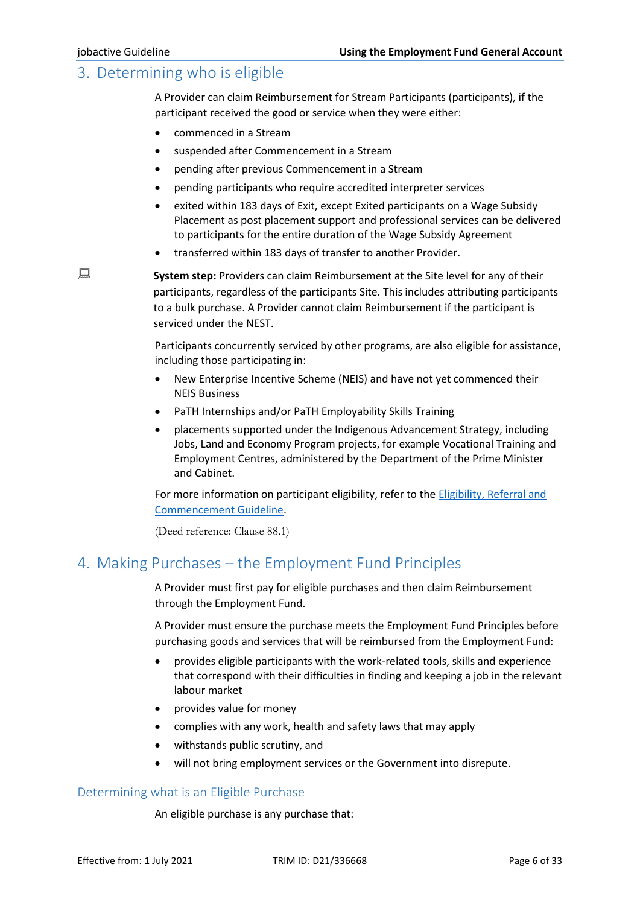# <span id="page-5-0"></span>3. Determining who is eligible

A Provider can claim Reimbursement for Stream Participants (participants), if the participant received the good or service when they were either:

- commenced in a Stream
- suspended after Commencement in a Stream
- pending after previous Commencement in a Stream
- pending participants who require accredited interpreter services
- exited within 183 days of Exit, except Exited participants on a Wage Subsidy Placement as post placement support and professional services can be delivered to participants for the entire duration of the Wage Subsidy Agreement
- transferred within 183 days of transfer to another Provider.

**System step:** Providers can claim Reimbursement at the Site level for any of their participants, regardless of the participants Site. This includes attributing participants to a bulk purchase. A Provider cannot claim Reimbursement if the participant is serviced under the NEST.

> Participants concurrently serviced by other programs, are also eligible for assistance, including those participating in:

- New Enterprise Incentive Scheme (NEIS) and have not yet commenced their NEIS Business
- PaTH Internships and/or PaTH Employability Skills Training
- placements supported under the Indigenous Advancement Strategy, including Jobs, Land and Economy Program projects, for example Vocational Training and Employment Centres, administered by the Department of the Prime Minister and Cabinet.

For more information on participant eligibility, refer to the Eligibility, Referral and [Commencement Guideline.](https://ecsnaccessintranet.hosts.application.enet/ProviderPortal/jobactive/Guidelines/Pages/Servicing.aspx)

(Deed reference: Clause 88.1)

# <span id="page-5-1"></span>4. Making Purchases – the Employment Fund Principles

A Provider must first pay for eligible purchases and then claim Reimbursement through the Employment Fund.

A Provider must ensure the purchase meets the Employment Fund Principles before purchasing goods and services that will be reimbursed from the Employment Fund:

- provides eligible participants with the work-related tools, skills and experience that correspond with their difficulties in finding and keeping a job in the relevant labour market
- provides value for money
- complies with any work, health and safety laws that may apply
- withstands public scrutiny, and
- will not bring employment services or the Government into disrepute.

#### <span id="page-5-2"></span>Determining what is an Eligible Purchase

An eligible purchase is any purchase that: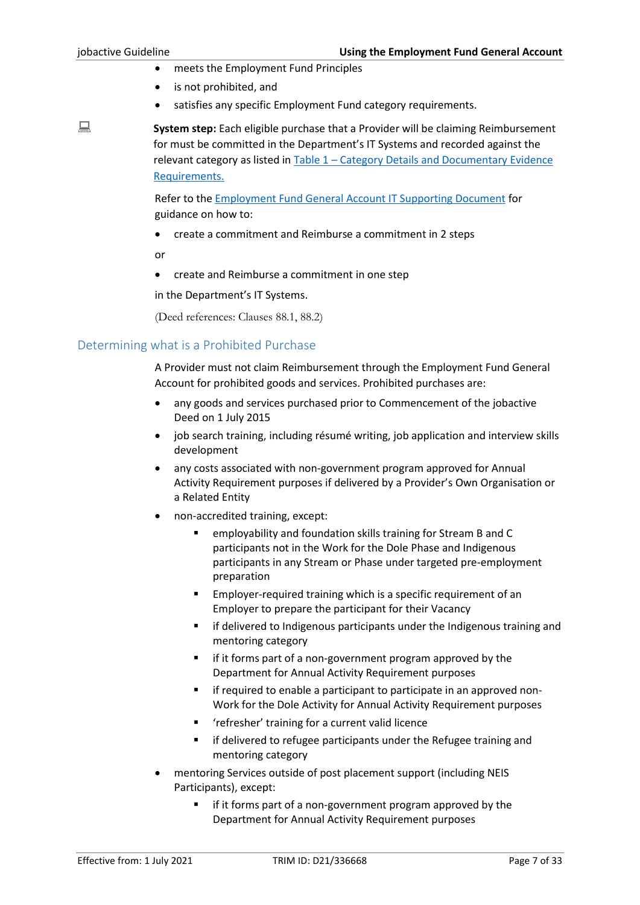- meets the Employment Fund Principles
- is not prohibited, and
- satisfies any specific Employment Fund category requirements.

**System step:** Each eligible purchase that a Provider will be claiming Reimbursement for must be committed in the Department's IT Systems and recorded against the relevant category as listed in Table 1 – [Category Details and Documentary Evidence](#page-15-0)  [Requirements.](#page-15-0)

> Refer to the [Employment Fund General Account IT Supporting Document](https://ecsnaccessintranet.hosts.application.enet/ProviderPortal/jobactive/Guidelines/Pages/Employment-Fund-and-Subsidies.aspx) for guidance on how to:

• create a commitment and Reimburse a commitment in 2 steps

or

• create and Reimburse a commitment in one step

in the Department's IT Systems.

(Deed references: Clauses 88.1, 88.2)

#### <span id="page-6-0"></span>Determining what is a Prohibited Purchase

A Provider must not claim Reimbursement through the Employment Fund General Account for prohibited goods and services. Prohibited purchases are:

- any goods and services purchased prior to Commencement of the jobactive Deed on 1 July 2015
- job search training, including résumé writing, job application and interview skills development
- any costs associated with non-government program approved for Annual Activity Requirement purposes if delivered by a Provider's Own Organisation or a Related Entity
- non-accredited training, except:
	- employability and foundation skills training for Stream B and C participants not in the Work for the Dole Phase and Indigenous participants in any Stream or Phase under targeted pre-employment preparation
	- Employer-required training which is a specific requirement of an Employer to prepare the participant for their Vacancy
	- if delivered to Indigenous participants under the Indigenous training and mentoring category
	- if it forms part of a non-government program approved by the Department for Annual Activity Requirement purposes
	- if required to enable a participant to participate in an approved non-Work for the Dole Activity for Annual Activity Requirement purposes
	- 'refresher' training for a current valid licence
	- if delivered to refugee participants under the Refugee training and mentoring category
- mentoring Services outside of post placement support (including NEIS Participants), except:
	- if it forms part of a non-government program approved by the Department for Annual Activity Requirement purposes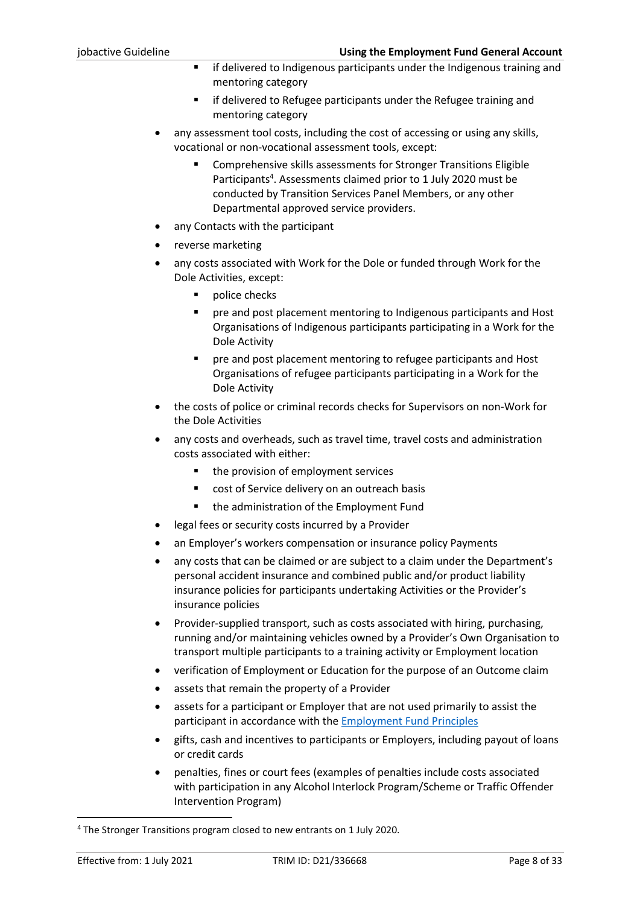- if delivered to Indigenous participants under the Indigenous training and mentoring category
- if delivered to Refugee participants under the Refugee training and mentoring category
- any assessment tool costs, including the cost of accessing or using any skills, vocational or non-vocational assessment tools, except:
	- Comprehensive skills assessments for Stronger Transitions Eligible Participants<sup>4</sup>. Assessments claimed prior to 1 July 2020 must be conducted by Transition Services Panel Members, or any other Departmental approved service providers.
- any Contacts with the participant
- reverse marketing
- any costs associated with Work for the Dole or funded through Work for the Dole Activities, except:
	- police checks
	- pre and post placement mentoring to Indigenous participants and Host Organisations of Indigenous participants participating in a Work for the Dole Activity
	- pre and post placement mentoring to refugee participants and Host Organisations of refugee participants participating in a Work for the Dole Activity
- the costs of police or criminal records checks for Supervisors on non-Work for the Dole Activities
- any costs and overheads, such as travel time, travel costs and administration costs associated with either:
	- the provision of employment services
	- cost of Service delivery on an outreach basis
	- the administration of the Employment Fund
- legal fees or security costs incurred by a Provider
- an Employer's workers compensation or insurance policy Payments
- any costs that can be claimed or are subject to a claim under the Department's personal accident insurance and combined public and/or product liability insurance policies for participants undertaking Activities or the Provider's insurance policies
- Provider-supplied transport, such as costs associated with hiring, purchasing, running and/or maintaining vehicles owned by a Provider's Own Organisation to transport multiple participants to a training activity or Employment location
- verification of Employment or Education for the purpose of an Outcome claim
- assets that remain the property of a Provider
- assets for a participant or Employer that are not used primarily to assist the participant in accordance with the [Employment Fund Principles](#page-5-1)
- gifts, cash and incentives to participants or Employers, including payout of loans or credit cards
- penalties, fines or court fees (examples of penalties include costs associated with participation in any Alcohol Interlock Program/Scheme or Traffic Offender Intervention Program)

<sup>4</sup> The Stronger Transitions program closed to new entrants on 1 July 2020.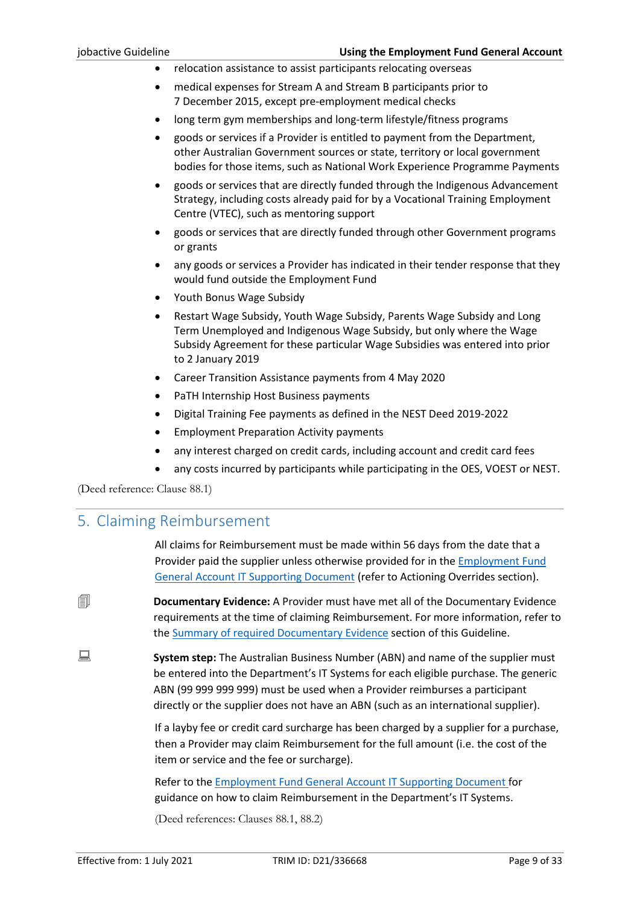- relocation assistance to assist participants relocating overseas
- medical expenses for Stream A and Stream B participants prior to 7 December 2015, except pre-employment medical checks
- long term gym memberships and long-term lifestyle/fitness programs
- goods or services if a Provider is entitled to payment from the Department, other Australian Government sources or state, territory or local government bodies for those items, such as National Work Experience Programme Payments
- goods or services that are directly funded through the Indigenous Advancement Strategy, including costs already paid for by a Vocational Training Employment Centre (VTEC), such as mentoring support
- goods or services that are directly funded through other Government programs or grants
- any goods or services a Provider has indicated in their tender response that they would fund outside the Employment Fund
- Youth Bonus Wage Subsidy
- Restart Wage Subsidy, Youth Wage Subsidy, Parents Wage Subsidy and Long Term Unemployed and Indigenous Wage Subsidy, but only where the Wage Subsidy Agreement for these particular Wage Subsidies was entered into prior to 2 January 2019
- Career Transition Assistance payments from 4 May 2020
- PaTH Internship Host Business payments
- Digital Training Fee payments as defined in the NEST Deed 2019-2022
- Employment Preparation Activity payments
- any interest charged on credit cards, including account and credit card fees
- any costs incurred by participants while participating in the OES, VOEST or NEST.

<span id="page-8-0"></span>(Deed reference: Clause 88.1)

# 5. Claiming Reimbursement

All claims for Reimbursement must be made within 56 days from the date that a Provider paid the supplier unless otherwise provided for in the [Employment Fund](https://ecsnaccessintranet.hosts.application.enet/ProviderPortal/jobactive/Guidelines/Pages/Employment-Fund-and-Subsidies.aspx)  [General Account IT Supporting Document](https://ecsnaccessintranet.hosts.application.enet/ProviderPortal/jobactive/Guidelines/Pages/Employment-Fund-and-Subsidies.aspx) (refer to Actioning Overrides section).

 **Documentary Evidence:** A Provider must have met all of the Documentary Evidence requirements at the time of claiming Reimbursement. For more information, refer to the [Summary of required Documentary](#page-12-1) Evidence section of this Guideline.

**System step:** The Australian Business Number (ABN) and name of the supplier must be entered into the Department's IT Systems for each eligible purchase. The generic ABN (99 999 999 999) must be used when a Provider reimburses a participant directly or the supplier does not have an ABN (such as an international supplier).

> If a layby fee or credit card surcharge has been charged by a supplier for a purchase, then a Provider may claim Reimbursement for the full amount (i.e. the cost of the item or service and the fee or surcharge).

Refer to the [Employment Fund General Account IT Supporting Document](https://ecsnaccessintranet.hosts.application.enet/ProviderPortal/jobactive/Guidelines/Pages/Employment-Fund-and-Subsidies.aspx) for guidance on how to claim Reimbursement in the Department's IT Systems.

(Deed references: Clauses 88.1, 88.2)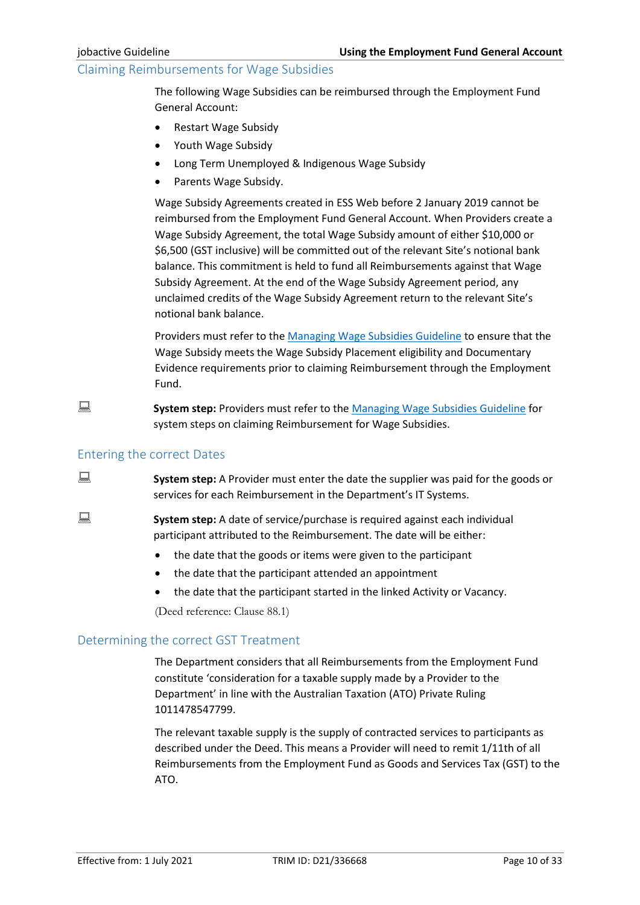#### <span id="page-9-0"></span>Claiming Reimbursements for Wage Subsidies

The following Wage Subsidies can be reimbursed through the Employment Fund General Account:

- Restart Wage Subsidy
- Youth Wage Subsidy
- Long Term Unemployed & Indigenous Wage Subsidy
- Parents Wage Subsidy.

Wage Subsidy Agreements created in ESS Web before 2 January 2019 cannot be reimbursed from the Employment Fund General Account. When Providers create a Wage Subsidy Agreement, the total Wage Subsidy amount of either \$10,000 or \$6,500 (GST inclusive) will be committed out of the relevant Site's notional bank balance. This commitment is held to fund all Reimbursements against that Wage Subsidy Agreement. At the end of the Wage Subsidy Agreement period, any unclaimed credits of the Wage Subsidy Agreement return to the relevant Site's notional bank balance.

Providers must refer to th[e Managing Wage Subsidies Guideline](https://ecsnaccessintranet.hosts.application.enet/ProviderPortal/jobactive/Guidelines/Pages/Employment-Fund-and-Subsidies.aspx) to ensure that the Wage Subsidy meets the Wage Subsidy Placement eligibility and Documentary Evidence requirements prior to claiming Reimbursement through the Employment Fund.

**System step:** Providers must refer to the [Managing Wage Subsidies Guideline](https://ecsnaccessintranet.hosts.application.enet/ProviderPortal/jobactive/Guidelines/Pages/Employment-Fund-and-Subsidies.aspx) for system steps on claiming Reimbursement for Wage Subsidies.

#### <span id="page-9-1"></span>Entering the correct Dates

**System step:** A Provider must enter the date the supplier was paid for the goods or services for each Reimbursement in the Department's IT Systems.

**System step:** A date of service/purchase is required against each individual participant attributed to the Reimbursement. The date will be either:

- the date that the goods or items were given to the participant
- the date that the participant attended an appointment
- the date that the participant started in the linked Activity or Vacancy.

(Deed reference: Clause 88.1)

#### <span id="page-9-2"></span>Determining the correct GST Treatment

The Department considers that all Reimbursements from the Employment Fund constitute 'consideration for a taxable supply made by a Provider to the Department' in line with the Australian Taxation (ATO) Private Ruling 1011478547799.

The relevant taxable supply is the supply of contracted services to participants as described under the Deed. This means a Provider will need to remit 1/11th of all Reimbursements from the Employment Fund as Goods and Services Tax (GST) to the ATO.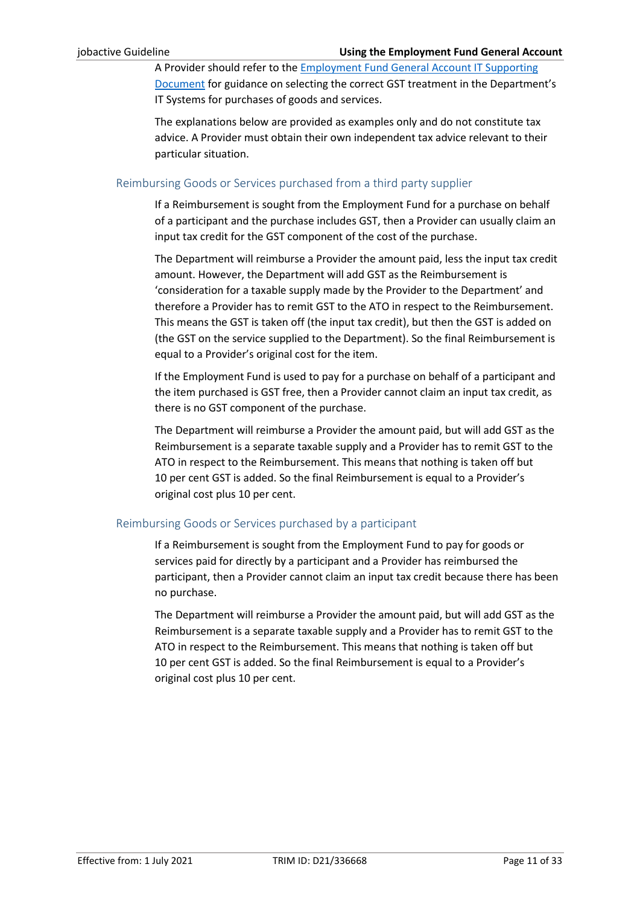A Provider should refer to th[e Employment Fund General Account IT Supporting](https://ecsnaccessintranet.hosts.application.enet/ProviderPortal/jobactive/Guidelines/Pages/Employment-Fund-and-Subsidies.aspx)  [Document](https://ecsnaccessintranet.hosts.application.enet/ProviderPortal/jobactive/Guidelines/Pages/Employment-Fund-and-Subsidies.aspx) for guidance on selecting the correct GST treatment in the Department's IT Systems for purchases of goods and services.

The explanations below are provided as examples only and do not constitute tax advice. A Provider must obtain their own independent tax advice relevant to their particular situation.

#### <span id="page-10-0"></span>Reimbursing Goods or Services purchased from a third party supplier

If a Reimbursement is sought from the Employment Fund for a purchase on behalf of a participant and the purchase includes GST, then a Provider can usually claim an input tax credit for the GST component of the cost of the purchase.

The Department will reimburse a Provider the amount paid, less the input tax credit amount. However, the Department will add GST as the Reimbursement is 'consideration for a taxable supply made by the Provider to the Department' and therefore a Provider has to remit GST to the ATO in respect to the Reimbursement. This means the GST is taken off (the input tax credit), but then the GST is added on (the GST on the service supplied to the Department). So the final Reimbursement is equal to a Provider's original cost for the item.

If the Employment Fund is used to pay for a purchase on behalf of a participant and the item purchased is GST free, then a Provider cannot claim an input tax credit, as there is no GST component of the purchase.

The Department will reimburse a Provider the amount paid, but will add GST as the Reimbursement is a separate taxable supply and a Provider has to remit GST to the ATO in respect to the Reimbursement. This means that nothing is taken off but 10 per cent GST is added. So the final Reimbursement is equal to a Provider's original cost plus 10 per cent.

#### <span id="page-10-1"></span>Reimbursing Goods or Services purchased by a participant

If a Reimbursement is sought from the Employment Fund to pay for goods or services paid for directly by a participant and a Provider has reimbursed the participant, then a Provider cannot claim an input tax credit because there has been no purchase.

The Department will reimburse a Provider the amount paid, but will add GST as the Reimbursement is a separate taxable supply and a Provider has to remit GST to the ATO in respect to the Reimbursement. This means that nothing is taken off but 10 per cent GST is added. So the final Reimbursement is equal to a Provider's original cost plus 10 per cent.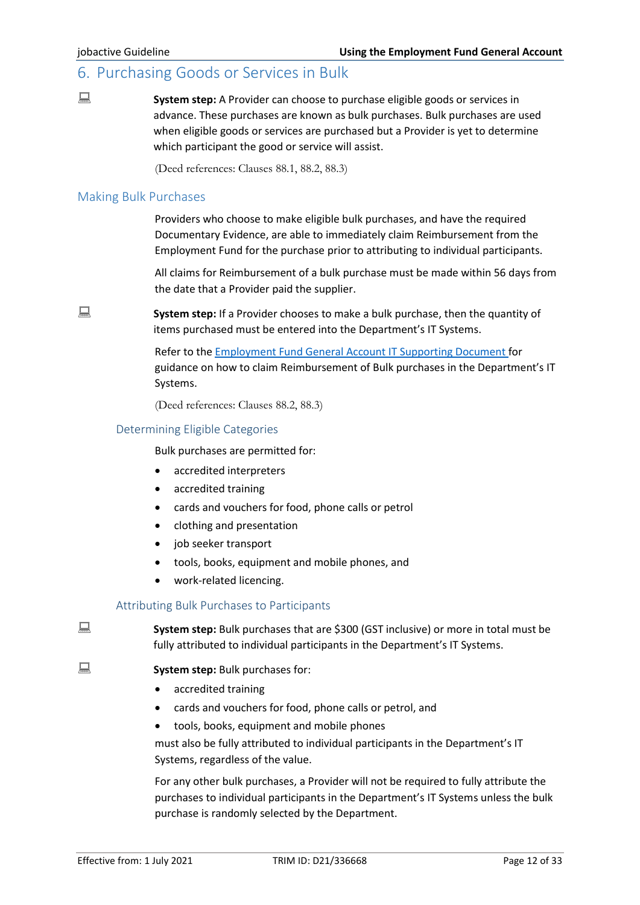# <span id="page-11-0"></span>6. Purchasing Goods or Services in Bulk

**System step:** A Provider can choose to purchase eligible goods or services in advance. These purchases are known as bulk purchases. Bulk purchases are used when eligible goods or services are purchased but a Provider is yet to determine which participant the good or service will assist.

(Deed references: Clauses 88.1, 88.2, 88.3)

#### <span id="page-11-1"></span>Making Bulk Purchases

Providers who choose to make eligible bulk purchases, and have the required Documentary Evidence, are able to immediately claim Reimbursement from the Employment Fund for the purchase prior to attributing to individual participants.

All claims for Reimbursement of a bulk purchase must be made within 56 days from the date that a Provider paid the supplier.

**System step:** If a Provider chooses to make a bulk purchase, then the quantity of items purchased must be entered into the Department's IT Systems.

> Refer to the [Employment Fund General Account IT](https://ecsnaccessintranet.hosts.application.enet/ProviderPortal/jobactive/Guidelines/Pages/Employment-Fund-and-Subsidies.aspx) Supporting Document for guidance on how to claim Reimbursement of Bulk purchases in the Department's IT Systems.

(Deed references: Clauses 88.2, 88.3)

#### <span id="page-11-2"></span>Determining Eligible Categories

Bulk purchases are permitted for:

- accredited interpreters
- accredited training
- cards and vouchers for food, phone calls or petrol
- clothing and presentation
- job seeker transport
- tools, books, equipment and mobile phones, and
- work-related licencing.

#### Attributing Bulk Purchases to Participants

<span id="page-11-3"></span>**System step:** Bulk purchases that are \$300 (GST inclusive) or more in total must be fully attributed to individual participants in the Department's IT Systems.

- **System step:** Bulk purchases for:
	- accredited training
	- cards and vouchers for food, phone calls or petrol, and
	- tools, books, equipment and mobile phones

must also be fully attributed to individual participants in the Department's IT Systems, regardless of the value.

For any other bulk purchases, a Provider will not be required to fully attribute the purchases to individual participants in the Department's IT Systems unless the bulk purchase is randomly selected by the Department.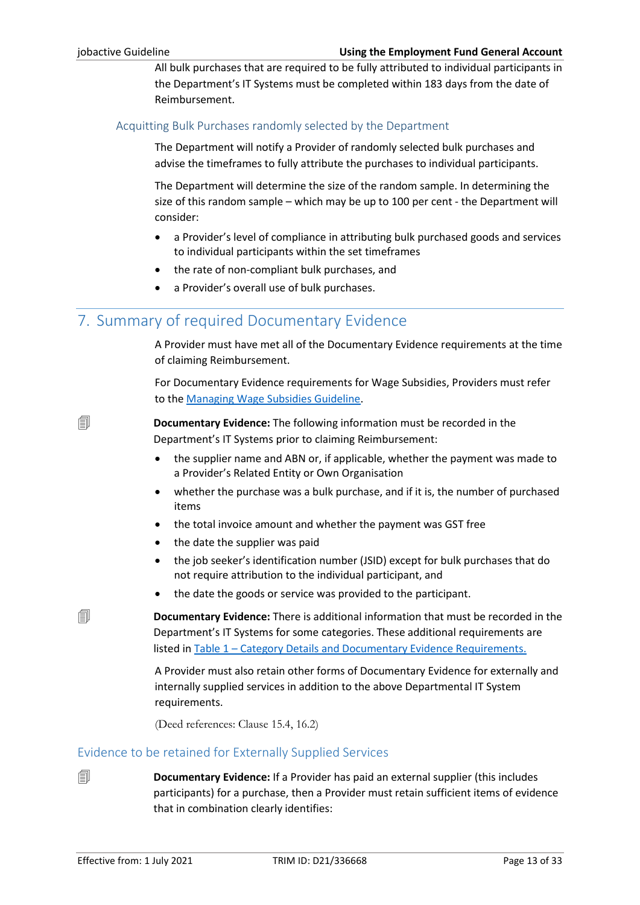All bulk purchases that are required to be fully attributed to individual participants in the Department's IT Systems must be completed within 183 days from the date of Reimbursement.

#### <span id="page-12-0"></span>Acquitting Bulk Purchases randomly selected by the Department

The Department will notify a Provider of randomly selected bulk purchases and advise the timeframes to fully attribute the purchases to individual participants.

The Department will determine the size of the random sample. In determining the size of this random sample – which may be up to 100 per cent - the Department will consider:

- a Provider's level of compliance in attributing bulk purchased goods and services to individual participants within the set timeframes
- the rate of non-compliant bulk purchases, and
- a Provider's overall use of bulk purchases.

# <span id="page-12-1"></span>7. Summary of required Documentary Evidence

A Provider must have met all of the Documentary Evidence requirements at the time of claiming Reimbursement.

For Documentary Evidence requirements for Wage Subsidies, Providers must refer to th[e Managing Wage Subsidies Guideline.](https://ecsnaccessintranet.hosts.application.enet/ProviderPortal/jobactive/Guidelines/Pages/Employment-Fund-and-Subsidies.aspx)

**E Documentary Evidence:** The following information must be recorded in the Department's IT Systems prior to claiming Reimbursement:

- the supplier name and ABN or, if applicable, whether the payment was made to a Provider's Related Entity or Own Organisation
- whether the purchase was a bulk purchase, and if it is, the number of purchased items
- the total invoice amount and whether the payment was GST free
- the date the supplier was paid
- the job seeker's identification number (JSID) except for bulk purchases that do not require attribution to the individual participant, and
- the date the goods or service was provided to the participant.

 **Documentary Evidence:** There is additional information that must be recorded in the Department's IT Systems for some categories. These additional requirements are listed in Table 1 – [Category Details and Documentary Evidence Requirements.](#page-15-0)

> A Provider must also retain other forms of Documentary Evidence for externally and internally supplied services in addition to the above Departmental IT System requirements.

(Deed references: Clause 15.4, 16.2)

### <span id="page-12-2"></span>Evidence to be retained for Externally Supplied Services

**<u>I</u> Documentary Evidence:** If a Provider has paid an external supplier (this includes participants) for a purchase, then a Provider must retain sufficient items of evidence that in combination clearly identifies: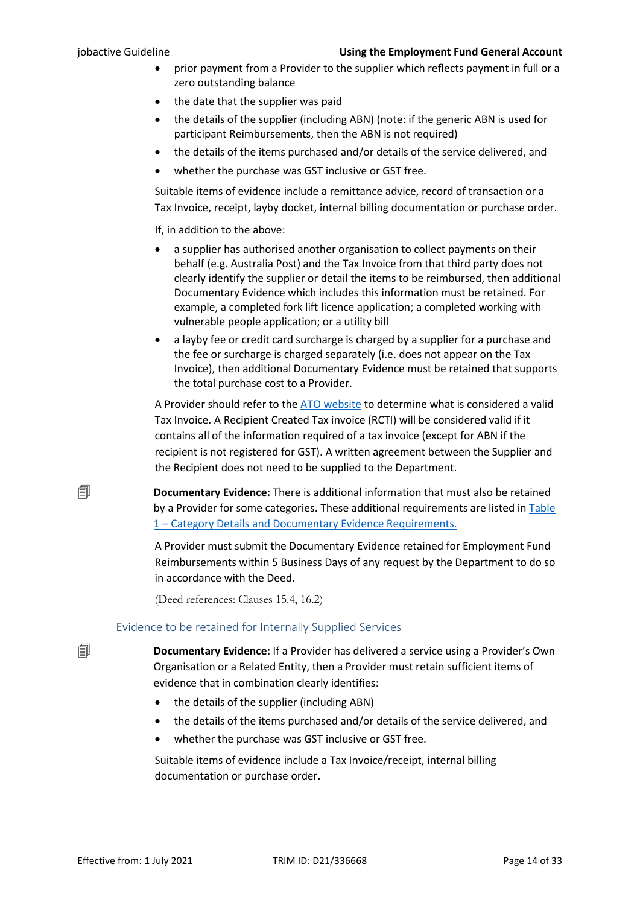- prior payment from a Provider to the supplier which reflects payment in full or a zero outstanding balance
- the date that the supplier was paid
- the details of the supplier (including ABN) (note: if the generic ABN is used for participant Reimbursements, then the ABN is not required)
- the details of the items purchased and/or details of the service delivered, and
- whether the purchase was GST inclusive or GST free.

Suitable items of evidence include a remittance advice, record of transaction or a Tax Invoice, receipt, layby docket, internal billing documentation or purchase order.

If, in addition to the above:

- a supplier has authorised another organisation to collect payments on their behalf (e.g. Australia Post) and the Tax Invoice from that third party does not clearly identify the supplier or detail the items to be reimbursed, then additional Documentary Evidence which includes this information must be retained. For example, a completed fork lift licence application; a completed working with vulnerable people application; or a utility bill
- a layby fee or credit card surcharge is charged by a supplier for a purchase and the fee or surcharge is charged separately (i.e. does not appear on the Tax Invoice), then additional Documentary Evidence must be retained that supports the total purchase cost to a Provider.

A Provider should refer to th[e ATO website](http://www.ato.gov.au/) to determine what is considered a valid Tax Invoice. A Recipient Created Tax invoice (RCTI) will be considered valid if it contains all of the information required of a tax invoice (except for ABN if the recipient is not registered for GST). A written agreement between the Supplier and the Recipient does not need to be supplied to the Department.

 **Documentary Evidence:** There is additional information that must also be retained by a Provider for some categories. These additional requirements are listed in [Table](#page-15-0)  1 – [Category Details and Documentary Evidence Requirements.](#page-15-0)

> A Provider must submit the Documentary Evidence retained for Employment Fund Reimbursements within 5 Business Days of any request by the Department to do so in accordance with the Deed.

(Deed references: Clauses 15.4, 16.2)

#### Evidence to be retained for Internally Supplied Services

<span id="page-13-0"></span> **Documentary Evidence:** If a Provider has delivered a service using a Provider's Own Organisation or a Related Entity, then a Provider must retain sufficient items of evidence that in combination clearly identifies:

- the details of the supplier (including ABN)
- the details of the items purchased and/or details of the service delivered, and
- whether the purchase was GST inclusive or GST free.

Suitable items of evidence include a Tax Invoice/receipt, internal billing documentation or purchase order.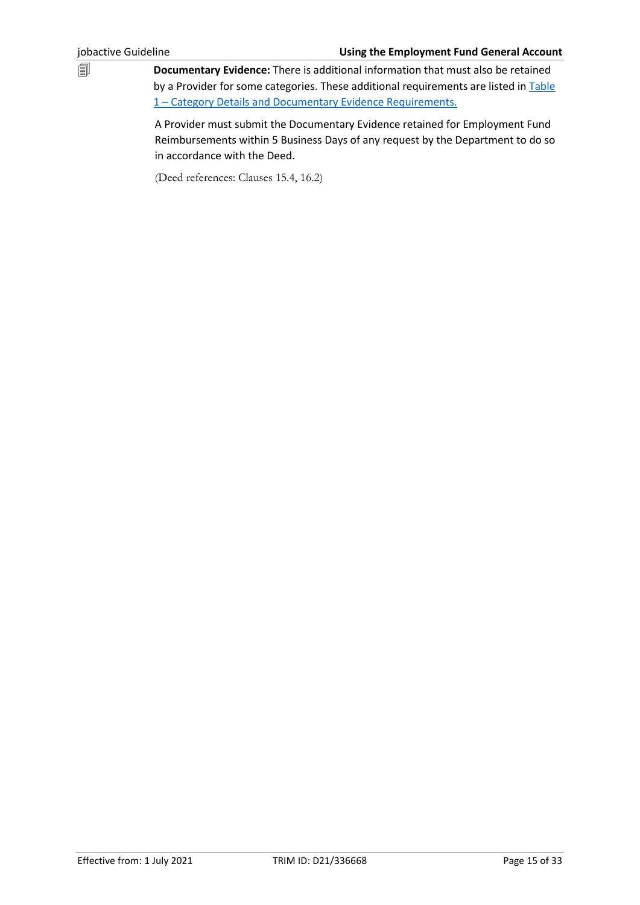**Documentary Evidence:** There is additional information that must also be retained by a Provider for some categories. These additional requirements are listed in Table 1 – [Category Details and Documentary Evidence Requirements.](#page-15-0)

> A Provider must submit the Documentary Evidence retained for Employment Fund Reimbursements within 5 Business Days of any request by the Department to do so in accordance with the Deed.

(Deed references: Clauses 15.4, 16.2)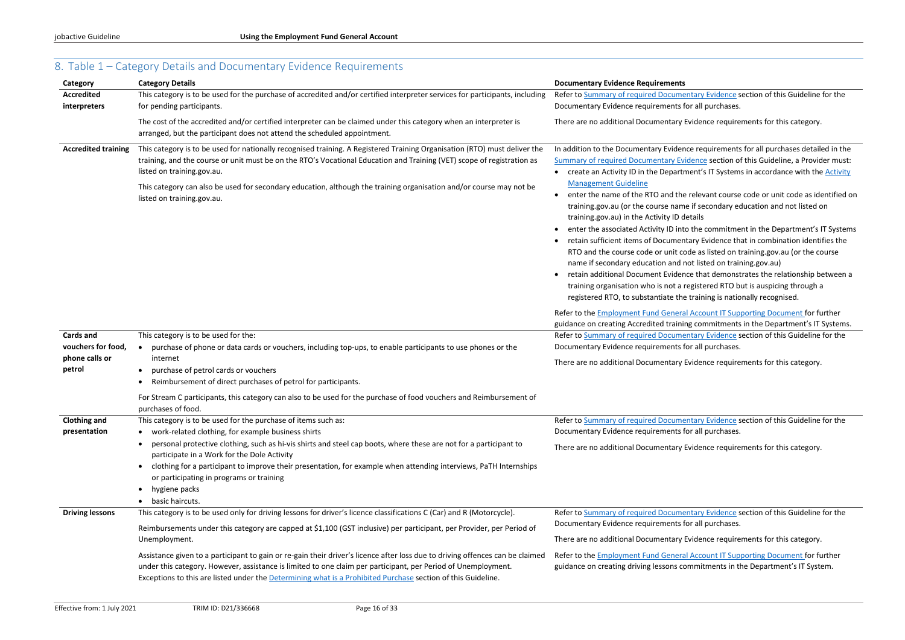# <span id="page-15-0"></span>8. Table 1 – Category Details and Documentary Evidence Requirements

entary Evidence section of this Guideline for the for all purchases.

Evidence requirements for this category.

Ince requirements for all purchases detailed in the idence section of this Guideline, a Provider must: ment's IT Systems in accordance with the **Activity** 

e relevant course code or unit code as identified on ne if secondary education and not listed on tetails

to the commitment in the Department's IT Systems tary Evidence that in combination identifies the ode as listed on training.gov.au (or the course

not listed on training.gov.au)

ece that demonstrates the relationship between a registered RTO but is auspicing through a e training is nationally recognised.

Referits al Account IT Supporting Document for further ng commitments in the Department's IT Systems. entary Evidence section of this Guideline for the for all purchases.

Evidence requirements for this category.

entary Evidence section of this Guideline for the for all purchases.

Evidence requirements for this category.

entary Evidence section of this Guideline for the for all purchases.

Evidence requirements for this category.

**Referent Account IT Supporting Document for further** pmmitments in the Department's IT System.

| Category                            | <b>Category Details</b>                                                                                                                                                                                                                                                                                                                                                                                  | <b>Documentary Evidence Requirements</b>                                                                                                                                                                                                                                                                                                                                                    |
|-------------------------------------|----------------------------------------------------------------------------------------------------------------------------------------------------------------------------------------------------------------------------------------------------------------------------------------------------------------------------------------------------------------------------------------------------------|---------------------------------------------------------------------------------------------------------------------------------------------------------------------------------------------------------------------------------------------------------------------------------------------------------------------------------------------------------------------------------------------|
| <b>Accredited</b>                   | This category is to be used for the purchase of accredited and/or certified interpreter services for participants, including                                                                                                                                                                                                                                                                             | Refer to Summary of required Docume                                                                                                                                                                                                                                                                                                                                                         |
| interpreters                        | for pending participants.                                                                                                                                                                                                                                                                                                                                                                                | Documentary Evidence requirements f                                                                                                                                                                                                                                                                                                                                                         |
|                                     | The cost of the accredited and/or certified interpreter can be claimed under this category when an interpreter is<br>arranged, but the participant does not attend the scheduled appointment.                                                                                                                                                                                                            | There are no additional Documentary                                                                                                                                                                                                                                                                                                                                                         |
| <b>Accredited training</b>          | This category is to be used for nationally recognised training. A Registered Training Organisation (RTO) must deliver the<br>training, and the course or unit must be on the RTO's Vocational Education and Training (VET) scope of registration as<br>listed on training.gov.au.<br>This category can also be used for secondary education, although the training organisation and/or course may not be | In addition to the Documentary Evider<br><b>Summary of required Documentary Ev</b><br>create an Activity ID in the Departr<br><b>Management Guideline</b>                                                                                                                                                                                                                                   |
|                                     | listed on training.gov.au.                                                                                                                                                                                                                                                                                                                                                                               | enter the name of the RTO and the<br>training.gov.au (or the course nam<br>training.gov.au) in the Activity ID d<br>enter the associated Activity ID int<br>retain sufficient items of Documen<br>RTO and the course code or unit co<br>name if secondary education and r<br>retain additional Document Evider<br>training organisation who is not a<br>registered RTO, to substantiate the |
|                                     |                                                                                                                                                                                                                                                                                                                                                                                                          | Refer to the <b>Employment Fund Genera</b><br>guidance on creating Accredited traini                                                                                                                                                                                                                                                                                                        |
| <b>Cards and</b>                    | This category is to be used for the:                                                                                                                                                                                                                                                                                                                                                                     | Refer to Summary of required Docume                                                                                                                                                                                                                                                                                                                                                         |
| vouchers for food,                  | purchase of phone or data cards or vouchers, including top-ups, to enable participants to use phones or the                                                                                                                                                                                                                                                                                              | Documentary Evidence requirements f                                                                                                                                                                                                                                                                                                                                                         |
| phone calls or<br>petrol            | internet<br>purchase of petrol cards or vouchers                                                                                                                                                                                                                                                                                                                                                         | There are no additional Documentary                                                                                                                                                                                                                                                                                                                                                         |
|                                     | Reimbursement of direct purchases of petrol for participants.                                                                                                                                                                                                                                                                                                                                            |                                                                                                                                                                                                                                                                                                                                                                                             |
|                                     | For Stream C participants, this category can also to be used for the purchase of food vouchers and Reimbursement of<br>purchases of food.                                                                                                                                                                                                                                                                |                                                                                                                                                                                                                                                                                                                                                                                             |
| <b>Clothing and</b><br>presentation | This category is to be used for the purchase of items such as:<br>work-related clothing, for example business shirts                                                                                                                                                                                                                                                                                     | Refer to Summary of required Docume<br>Documentary Evidence requirements f                                                                                                                                                                                                                                                                                                                  |
|                                     | personal protective clothing, such as hi-vis shirts and steel cap boots, where these are not for a participant to<br>participate in a Work for the Dole Activity                                                                                                                                                                                                                                         | There are no additional Documentary                                                                                                                                                                                                                                                                                                                                                         |
|                                     | clothing for a participant to improve their presentation, for example when attending interviews, PaTH Internships<br>or participating in programs or training                                                                                                                                                                                                                                            |                                                                                                                                                                                                                                                                                                                                                                                             |
|                                     | hygiene packs<br>basic haircuts.                                                                                                                                                                                                                                                                                                                                                                         |                                                                                                                                                                                                                                                                                                                                                                                             |
| <b>Driving lessons</b>              | This category is to be used only for driving lessons for driver's licence classifications C (Car) and R (Motorcycle).                                                                                                                                                                                                                                                                                    | Refer to Summary of required Docume                                                                                                                                                                                                                                                                                                                                                         |
|                                     | Reimbursements under this category are capped at \$1,100 (GST inclusive) per participant, per Provider, per Period of<br>Unemployment.                                                                                                                                                                                                                                                                   | Documentary Evidence requirements f<br>There are no additional Documentary                                                                                                                                                                                                                                                                                                                  |
|                                     | Assistance given to a participant to gain or re-gain their driver's licence after loss due to driving offences can be claimed<br>under this category. However, assistance is limited to one claim per participant, per Period of Unemployment.<br>Exceptions to this are listed under the Determining what is a Prohibited Purchase section of this Guideline.                                           | Refer to the <b>Employment Fund Genera</b><br>guidance on creating driving lessons co                                                                                                                                                                                                                                                                                                       |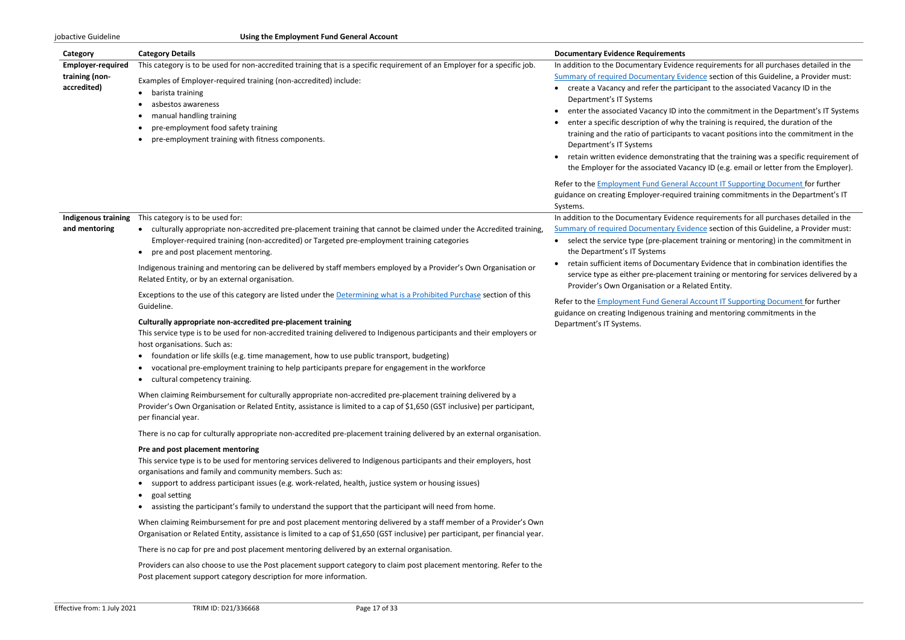| Category                                                  | <b>Category Details</b>                                                                                                                                                                                                                                                                                                                                                                                                                                  | <b>Documentary Evidence Requirements</b>                                                                                                                                                                                                                                                                                                                                                                                      |
|-----------------------------------------------------------|----------------------------------------------------------------------------------------------------------------------------------------------------------------------------------------------------------------------------------------------------------------------------------------------------------------------------------------------------------------------------------------------------------------------------------------------------------|-------------------------------------------------------------------------------------------------------------------------------------------------------------------------------------------------------------------------------------------------------------------------------------------------------------------------------------------------------------------------------------------------------------------------------|
| <b>Employer-required</b><br>training (non-<br>accredited) | This category is to be used for non-accredited training that is a specific requirement of an Employer for a specific job.<br>Examples of Employer-required training (non-accredited) include:<br>barista training<br>asbestos awareness<br>manual handling training<br>pre-employment food safety training<br>pre-employment training with fitness components.                                                                                           | In addition to the Documentary Evider<br><b>Summary of required Documentary Ev</b><br>create a Vacancy and refer the par<br>Department's IT Systems<br>enter the associated Vacancy ID in<br>enter a specific description of why<br>training and the ratio of participan<br>Department's IT Systems<br>retain written evidence demonstra<br>the Employer for the associated Va<br>Refer to the Employment Fund Genera         |
| Indigenous training<br>and mentoring                      | This category is to be used for:<br>• culturally appropriate non-accredited pre-placement training that cannot be claimed under the Accredited training,<br>Employer-required training (non-accredited) or Targeted pre-employment training categories<br>pre and post placement mentoring.                                                                                                                                                              | guidance on creating Employer-require<br>Systems.<br>In addition to the Documentary Evider<br><b>Summary of required Documentary Ev</b><br>select the service type (pre-placem<br>$\bullet$<br>the Department's IT Systems<br>retain sufficient items of Documen<br>service type as either pre-placeme<br>Provider's Own Organisation or a F<br>Refer to the Employment Fund Genera<br>guidance on creating Indigenous traini |
|                                                           | Indigenous training and mentoring can be delivered by staff members employed by a Provider's Own Organisation or<br>Related Entity, or by an external organisation.<br>Exceptions to the use of this category are listed under the Determining what is a Prohibited Purchase section of this<br>Guideline.                                                                                                                                               |                                                                                                                                                                                                                                                                                                                                                                                                                               |
|                                                           | Culturally appropriate non-accredited pre-placement training<br>This service type is to be used for non-accredited training delivered to Indigenous participants and their employers or<br>host organisations. Such as:<br>foundation or life skills (e.g. time management, how to use public transport, budgeting)<br>vocational pre-employment training to help participants prepare for engagement in the workforce<br>cultural competency training.  | Department's IT Systems.                                                                                                                                                                                                                                                                                                                                                                                                      |
|                                                           | When claiming Reimbursement for culturally appropriate non-accredited pre-placement training delivered by a<br>Provider's Own Organisation or Related Entity, assistance is limited to a cap of \$1,650 (GST inclusive) per participant,<br>per financial year.                                                                                                                                                                                          |                                                                                                                                                                                                                                                                                                                                                                                                                               |
|                                                           | There is no cap for culturally appropriate non-accredited pre-placement training delivered by an external organisation.                                                                                                                                                                                                                                                                                                                                  |                                                                                                                                                                                                                                                                                                                                                                                                                               |
|                                                           | Pre and post placement mentoring<br>This service type is to be used for mentoring services delivered to Indigenous participants and their employers, host<br>organisations and family and community members. Such as:<br>• support to address participant issues (e.g. work-related, health, justice system or housing issues)<br>goal setting<br>assisting the participant's family to understand the support that the participant will need from home. |                                                                                                                                                                                                                                                                                                                                                                                                                               |
|                                                           | When claiming Reimbursement for pre and post placement mentoring delivered by a staff member of a Provider's Own<br>Organisation or Related Entity, assistance is limited to a cap of \$1,650 (GST inclusive) per participant, per financial year.                                                                                                                                                                                                       |                                                                                                                                                                                                                                                                                                                                                                                                                               |
|                                                           | There is no cap for pre and post placement mentoring delivered by an external organisation.                                                                                                                                                                                                                                                                                                                                                              |                                                                                                                                                                                                                                                                                                                                                                                                                               |
|                                                           | Providers can also choose to use the Post placement support category to claim post placement mentoring. Refer to the<br>Post placement support category description for more information.                                                                                                                                                                                                                                                                |                                                                                                                                                                                                                                                                                                                                                                                                                               |

nce requirements for all purchases detailed in the idence section of this Guideline, a Provider must: rticipant to the associated Vacancy ID in the

to the commitment in the Department's IT Systems  $\alpha$  the training is required, the duration of the its to vacant positions into the commitment in the

ating that the training was a specific requirement of acancy ID (e.g. email or letter from the Employer).

al Account IT Supporting Document for further red training commitments in the Department's IT

nce requirements for all purchases detailed in the vidence section of this Guideline, a Provider must: nent training or mentoring) in the commitment in

htary Evidence that in combination identifies the ent training or mentoring for services delivered by a Related Entity.

al Account IT Supporting Document for further ing and mentoring commitments in the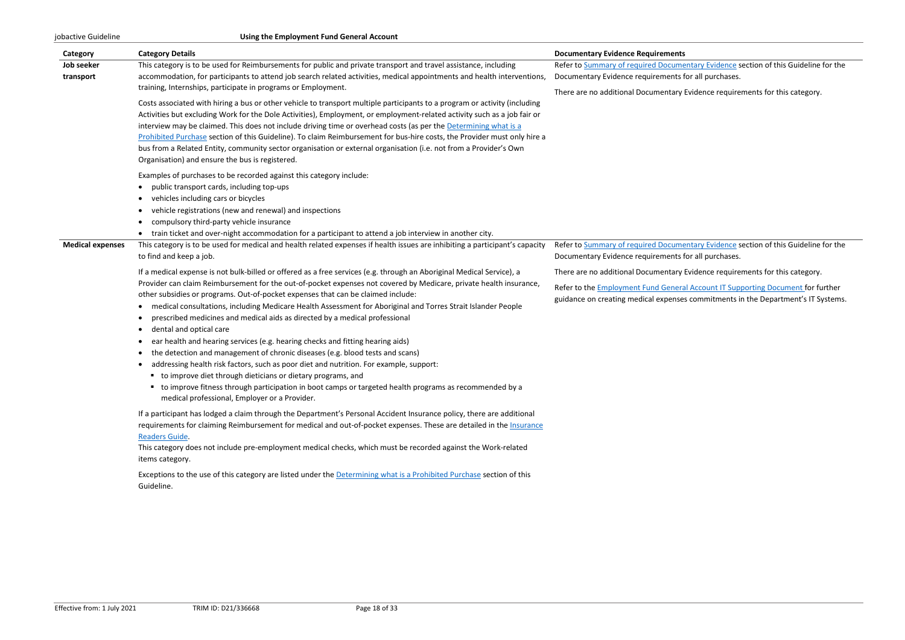| Category                | <b>Category Details</b>                                                                                                             | <b>Documentary Evidence Requirements</b>   |
|-------------------------|-------------------------------------------------------------------------------------------------------------------------------------|--------------------------------------------|
| Job seeker              | This category is to be used for Reimbursements for public and private transport and travel assistance, including                    | Refer to Summary of required Docume        |
| transport               | accommodation, for participants to attend job search related activities, medical appointments and health interventions,             | Documentary Evidence requirements f        |
|                         | training, Internships, participate in programs or Employment.                                                                       | There are no additional Documentary        |
|                         | Costs associated with hiring a bus or other vehicle to transport multiple participants to a program or activity (including          |                                            |
|                         | Activities but excluding Work for the Dole Activities), Employment, or employment-related activity such as a job fair or            |                                            |
|                         | interview may be claimed. This does not include driving time or overhead costs (as per the Determining what is a                    |                                            |
|                         | Prohibited Purchase section of this Guideline). To claim Reimbursement for bus-hire costs, the Provider must only hire a            |                                            |
|                         | bus from a Related Entity, community sector organisation or external organisation (i.e. not from a Provider's Own                   |                                            |
|                         | Organisation) and ensure the bus is registered.                                                                                     |                                            |
|                         | Examples of purchases to be recorded against this category include:                                                                 |                                            |
|                         | public transport cards, including top-ups<br>$\bullet$                                                                              |                                            |
|                         | vehicles including cars or bicycles<br>$\bullet$                                                                                    |                                            |
|                         | vehicle registrations (new and renewal) and inspections<br>$\bullet$                                                                |                                            |
|                         | compulsory third-party vehicle insurance<br>$\bullet$                                                                               |                                            |
|                         | train ticket and over-night accommodation for a participant to attend a job interview in another city.<br>$\bullet$                 |                                            |
| <b>Medical expenses</b> | This category is to be used for medical and health related expenses if health issues are inhibiting a participant's capacity        | Refer to Summary of required Docume        |
|                         | to find and keep a job.                                                                                                             | Documentary Evidence requirements f        |
|                         | If a medical expense is not bulk-billed or offered as a free services (e.g. through an Aboriginal Medical Service), a               | There are no additional Documentary        |
|                         | Provider can claim Reimbursement for the out-of-pocket expenses not covered by Medicare, private health insurance,                  |                                            |
|                         | other subsidies or programs. Out-of-pocket expenses that can be claimed include:                                                    | Refer to the <b>Employment Fund Genera</b> |
|                         | medical consultations, including Medicare Health Assessment for Aboriginal and Torres Strait Islander People<br>$\bullet$           | guidance on creating medical expense.      |
|                         | prescribed medicines and medical aids as directed by a medical professional<br>$\bullet$                                            |                                            |
|                         | dental and optical care<br>$\bullet$                                                                                                |                                            |
|                         | ear health and hearing services (e.g. hearing checks and fitting hearing aids)<br>$\bullet$                                         |                                            |
|                         | the detection and management of chronic diseases (e.g. blood tests and scans)<br>$\bullet$                                          |                                            |
|                         | addressing health risk factors, such as poor diet and nutrition. For example, support:<br>$\bullet$                                 |                                            |
|                         | " to improve diet through dieticians or dietary programs, and                                                                       |                                            |
|                         | • to improve fitness through participation in boot camps or targeted health programs as recommended by a                            |                                            |
|                         | medical professional, Employer or a Provider.                                                                                       |                                            |
|                         | If a participant has lodged a claim through the Department's Personal Accident Insurance policy, there are additional               |                                            |
|                         | requirements for claiming Reimbursement for medical and out-of-pocket expenses. These are detailed in the Insurance                 |                                            |
|                         | Readers Guide.                                                                                                                      |                                            |
|                         | This category does not include pre-employment medical checks, which must be recorded against the Work-related                       |                                            |
|                         | items category.                                                                                                                     |                                            |
|                         |                                                                                                                                     |                                            |
|                         | Exceptions to the use of this category are listed under the Determining what is a Prohibited Purchase section of this<br>Guideline. |                                            |
|                         |                                                                                                                                     |                                            |
|                         |                                                                                                                                     |                                            |
|                         |                                                                                                                                     |                                            |

entary Evidence section of this Guideline for the for all purchases.

Evidence requirements for this category.

entary Evidence section of this Guideline for the for all purchases.

Evidence requirements for this category.

al Account IT Supporting Document for further es commitments in the Department's IT Systems.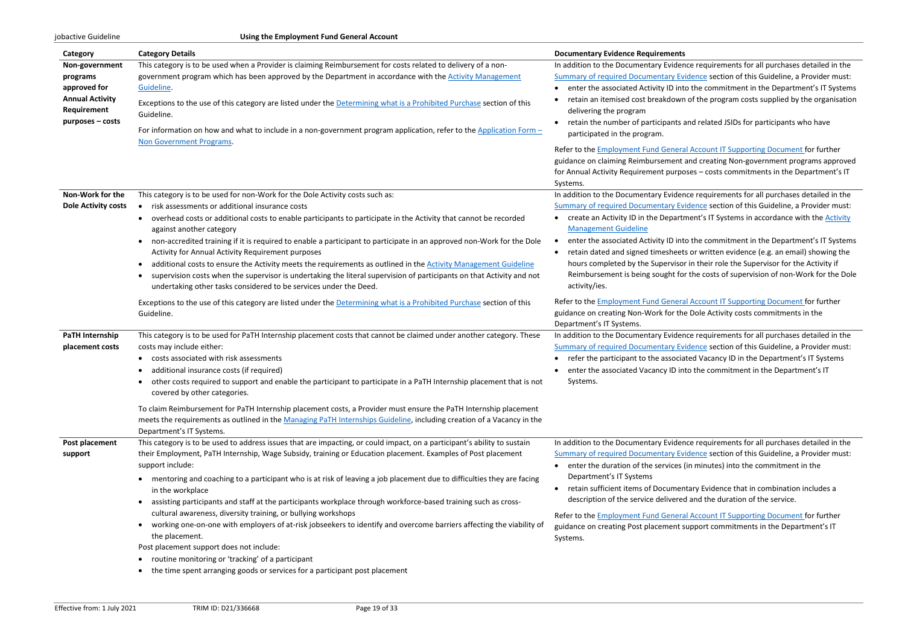| Category                                                                                                | <b>Category Details</b>                                                                                                                                                                                                                                                                                                                                                                                                                                                                                                                                                                                                                                                                                                                                                                                                                                                          | <b>Documentary Evidence Requirements</b>                                                                                                                                                                                                                                                                                                                                                                  |
|---------------------------------------------------------------------------------------------------------|----------------------------------------------------------------------------------------------------------------------------------------------------------------------------------------------------------------------------------------------------------------------------------------------------------------------------------------------------------------------------------------------------------------------------------------------------------------------------------------------------------------------------------------------------------------------------------------------------------------------------------------------------------------------------------------------------------------------------------------------------------------------------------------------------------------------------------------------------------------------------------|-----------------------------------------------------------------------------------------------------------------------------------------------------------------------------------------------------------------------------------------------------------------------------------------------------------------------------------------------------------------------------------------------------------|
| Non-government<br>programs<br>approved for<br><b>Annual Activity</b><br>Requirement<br>purposes – costs | This category is to be used when a Provider is claiming Reimbursement for costs related to delivery of a non-<br>government program which has been approved by the Department in accordance with the Activity Management<br>Guideline.<br>Exceptions to the use of this category are listed under the Determining what is a Prohibited Purchase section of this<br>Guideline.<br>For information on how and what to include in a non-government program application, refer to the Application Form $-$<br>Non Government Programs.                                                                                                                                                                                                                                                                                                                                               | In addition to the Documentary Evider<br><b>Summary of required Documentary Ev</b><br>enter the associated Activity ID int<br>retain an itemised cost breakdown<br>delivering the program<br>retain the number of participants a<br>participated in the program.<br>Refer to the <b>Employment Fund Genera</b><br>guidance on claiming Reimbursement<br>for Annual Activity Requirement purpo<br>Systems. |
| Non-Work for the<br><b>Dole Activity costs</b>                                                          | This category is to be used for non-Work for the Dole Activity costs such as:<br>risk assessments or additional insurance costs<br>overhead costs or additional costs to enable participants to participate in the Activity that cannot be recorded<br>against another category<br>non-accredited training if it is required to enable a participant to participate in an approved non-Work for the Dole<br>Activity for Annual Activity Requirement purposes<br>additional costs to ensure the Activity meets the requirements as outlined in the Activity Management Guideline<br>supervision costs when the supervisor is undertaking the literal supervision of participants on that Activity and not<br>undertaking other tasks considered to be services under the Deed.                                                                                                   | In addition to the Documentary Evider<br><b>Summary of required Documentary Ev</b><br>create an Activity ID in the Departr<br><b>Management Guideline</b><br>enter the associated Activity ID int<br>$\bullet$<br>retain dated and signed timesheet<br>hours completed by the Supervisor<br>Reimbursement is being sought fo<br>activity/ies.                                                             |
|                                                                                                         | Exceptions to the use of this category are listed under the Determining what is a Prohibited Purchase section of this<br>Guideline.                                                                                                                                                                                                                                                                                                                                                                                                                                                                                                                                                                                                                                                                                                                                              | Refer to the <b>Employment Fund Genera</b><br>guidance on creating Non-Work for the<br>Department's IT Systems.                                                                                                                                                                                                                                                                                           |
| PaTH Internship<br>placement costs                                                                      | This category is to be used for PaTH Internship placement costs that cannot be claimed under another category. These<br>costs may include either:<br>costs associated with risk assessments<br>additional insurance costs (if required)<br>other costs required to support and enable the participant to participate in a PaTH Internship placement that is not<br>covered by other categories.<br>To claim Reimbursement for PaTH Internship placement costs, a Provider must ensure the PaTH Internship placement<br>meets the requirements as outlined in the Managing PaTH Internships Guideline, including creation of a Vacancy in the                                                                                                                                                                                                                                     | In addition to the Documentary Evider<br><b>Summary of required Documentary Ev</b><br>refer the participant to the associa<br>٠<br>enter the associated Vacancy ID in<br>Systems.                                                                                                                                                                                                                         |
| Post placement<br>support                                                                               | Department's IT Systems.<br>This category is to be used to address issues that are impacting, or could impact, on a participant's ability to sustain<br>their Employment, PaTH Internship, Wage Subsidy, training or Education placement. Examples of Post placement<br>support include:<br>mentoring and coaching to a participant who is at risk of leaving a job placement due to difficulties they are facing<br>in the workplace<br>assisting participants and staff at the participants workplace through workforce-based training such as cross-<br>cultural awareness, diversity training, or bullying workshops<br>working one-on-one with employers of at-risk jobseekers to identify and overcome barriers affecting the viability of<br>$\bullet$<br>the placement.<br>Post placement support does not include:<br>routine monitoring or 'tracking' of a participant | In addition to the Documentary Evider<br><b>Summary of required Documentary Ev</b><br>enter the duration of the services<br>$\bullet$<br>Department's IT Systems<br>retain sufficient items of Documen<br>description of the service delivered<br>Refer to the <b>Employment Fund Genera</b><br>guidance on creating Post placement s<br>Systems.                                                         |
|                                                                                                         | the time spent arranging goods or services for a participant post placement                                                                                                                                                                                                                                                                                                                                                                                                                                                                                                                                                                                                                                                                                                                                                                                                      |                                                                                                                                                                                                                                                                                                                                                                                                           |

Ince requirements for all purchases detailed in the vidence section of this Guideline, a Provider must: to the commitment in the Department's IT Systems In of the program costs supplied by the organisation

and related JSIDs for participants who have

**Reference IT Supporting Document for further** and creating Non-government programs approved oses – costs commitments in the Department's IT

Ince requirements for all purchases detailed in the vidence section of this Guideline, a Provider must: efilment's IT Systems in accordance with the **Activity** 

to the commitment in the Department's IT Systems ts or written evidence (e.g. an email) showing the or in their role the Supervisor for the Activity if or the costs of supervision of non-Work for the Dole

ral Account IT Supporting Document for further he Dole Activity costs commitments in the

Ince requirements for all purchases detailed in the vidence section of this Guideline, a Provider must: iated Vacancy ID in the Department's IT Systems hto the commitment in the Department's IT

Ince requirements for all purchases detailed in the vidence section of this Guideline, a Provider must:  $s$  (in minutes) into the commitment in the

ntary Evidence that in combination includes a ed and the duration of the service.

ral Account IT Supporting Document for further support commitments in the Department's IT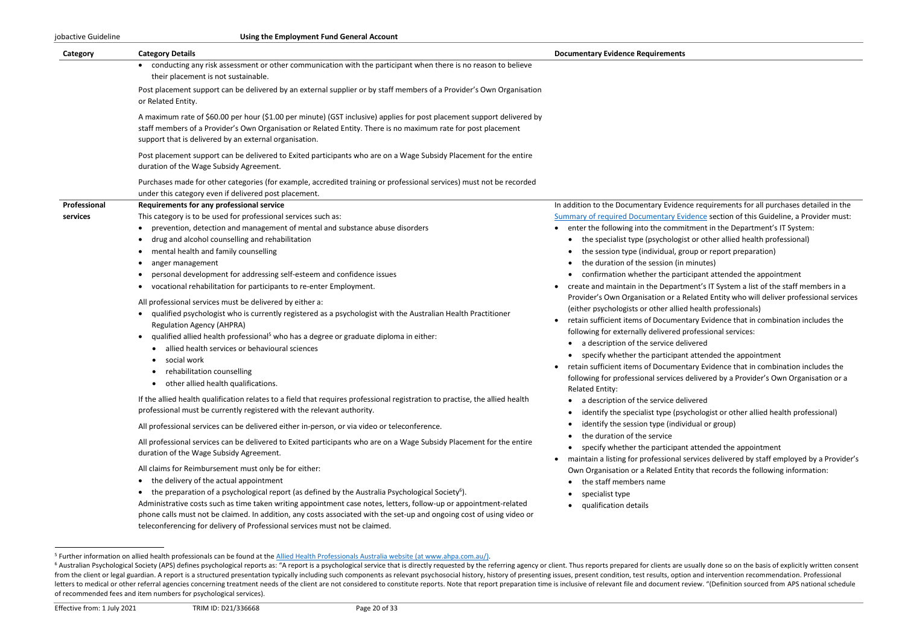jobactive Guideline **Using the Employment Fund General Account**

| Category     | <b>Category Details</b>                                                                                                                                                                                                                                                                           | <b>Documentary Evidence Requirements</b>                                                                            |
|--------------|---------------------------------------------------------------------------------------------------------------------------------------------------------------------------------------------------------------------------------------------------------------------------------------------------|---------------------------------------------------------------------------------------------------------------------|
|              | conducting any risk assessment or other communication with the participant when there is no reason to believe<br>their placement is not sustainable.                                                                                                                                              |                                                                                                                     |
|              | Post placement support can be delivered by an external supplier or by staff members of a Provider's Own Organisation<br>or Related Entity.                                                                                                                                                        |                                                                                                                     |
|              | A maximum rate of \$60.00 per hour (\$1.00 per minute) (GST inclusive) applies for post placement support delivered by<br>staff members of a Provider's Own Organisation or Related Entity. There is no maximum rate for post placement<br>support that is delivered by an external organisation. |                                                                                                                     |
|              | Post placement support can be delivered to Exited participants who are on a Wage Subsidy Placement for the entire<br>duration of the Wage Subsidy Agreement.                                                                                                                                      |                                                                                                                     |
|              | Purchases made for other categories (for example, accredited training or professional services) must not be recorded<br>under this category even if delivered post placement.                                                                                                                     |                                                                                                                     |
| Professional | Requirements for any professional service                                                                                                                                                                                                                                                         | In addition to the Documentary Evidence req                                                                         |
| services     | This category is to be used for professional services such as:                                                                                                                                                                                                                                    | <b>Summary of required Documentary Evidence</b>                                                                     |
|              | prevention, detection and management of mental and substance abuse disorders                                                                                                                                                                                                                      | enter the following into the commitment                                                                             |
|              | drug and alcohol counselling and rehabilitation                                                                                                                                                                                                                                                   | • the specialist type (psychologist or of                                                                           |
|              | mental health and family counselling<br>$\bullet$                                                                                                                                                                                                                                                 | the session type (individual, group or                                                                              |
|              | anger management                                                                                                                                                                                                                                                                                  | the duration of the session (in minute                                                                              |
|              | personal development for addressing self-esteem and confidence issues                                                                                                                                                                                                                             | confirmation whether the participan                                                                                 |
|              | vocational rehabilitation for participants to re-enter Employment.<br>$\bullet$                                                                                                                                                                                                                   | create and maintain in the Department's<br>$\bullet$<br>Provider's Own Organisation or a Related                    |
|              | All professional services must be delivered by either a:                                                                                                                                                                                                                                          | (either psychologists or other allied healt                                                                         |
|              | qualified psychologist who is currently registered as a psychologist with the Australian Health Practitioner                                                                                                                                                                                      | retain sufficient items of Documentary Ev                                                                           |
|              | <b>Regulation Agency (AHPRA)</b>                                                                                                                                                                                                                                                                  | following for externally delivered profess                                                                          |
|              | qualified allied health professional <sup>5</sup> who has a degree or graduate diploma in either:<br>$\bullet$                                                                                                                                                                                    | a description of the service delivered                                                                              |
|              | allied health services or behavioural sciences<br>$\bullet$                                                                                                                                                                                                                                       | • specify whether the participant atter                                                                             |
|              | social work<br>٠                                                                                                                                                                                                                                                                                  | retain sufficient items of Documentary Ev<br>٠                                                                      |
|              | rehabilitation counselling                                                                                                                                                                                                                                                                        | following for professional services delive                                                                          |
|              | other allied health qualifications.                                                                                                                                                                                                                                                               | <b>Related Entity:</b>                                                                                              |
|              | If the allied health qualification relates to a field that requires professional registration to practise, the allied health                                                                                                                                                                      | a description of the service delivered                                                                              |
|              | professional must be currently registered with the relevant authority.                                                                                                                                                                                                                            | identify the specialist type (psycholo;<br>$\bullet$                                                                |
|              | All professional services can be delivered either in-person, or via video or teleconference.                                                                                                                                                                                                      | identify the session type (individual c                                                                             |
|              | All professional services can be delivered to Exited participants who are on a Wage Subsidy Placement for the entire<br>duration of the Wage Subsidy Agreement.                                                                                                                                   | the duration of the service<br>specify whether the participant atter<br>maintain a listing for professional service |
|              | All claims for Reimbursement must only be for either:                                                                                                                                                                                                                                             | Own Organisation or a Related Entity tha                                                                            |
|              | the delivery of the actual appointment                                                                                                                                                                                                                                                            | the staff members name                                                                                              |
|              | the preparation of a psychological report (as defined by the Australia Psychological Society <sup>6</sup> ).                                                                                                                                                                                      |                                                                                                                     |
|              | Administrative costs such as time taken writing appointment case notes, letters, follow-up or appointment-related                                                                                                                                                                                 | specialist type                                                                                                     |
|              | phone calls must not be claimed. In addition, any costs associated with the set-up and ongoing cost of using video or                                                                                                                                                                             | qualification details                                                                                               |
|              | teleconferencing for delivery of Professional services must not be claimed.                                                                                                                                                                                                                       |                                                                                                                     |
|              |                                                                                                                                                                                                                                                                                                   |                                                                                                                     |
|              |                                                                                                                                                                                                                                                                                                   |                                                                                                                     |

<sup>&</sup>lt;sup>5</sup> Further information on allied health professionals can be found at the [Allied Health Professionals Australia website](https://ahpa.com.au/) (at www.ahpa.com.au/).

In addition to the Documents for all purchases detailed in the lence section of this Guideline, a Provider must:

- ment in the Department's IT System:
- or other allied health professional)
- up or report preparation)
- ninutes)
- elipant attended the appointment
- ent's IT System a list of the staff members in a
- Plated Entity who will deliver professional services
- health professionals)
- ary Evidence that in combination includes the
- follosional services:
- 
- attended the appointment
- ary Evidence that in combination includes the
- lelivered by a Provider's Own Organisation or a
- 
- thologist or other allied health professional) dual or group)
- attended the appointment
- rvices delivered by staff employed by a Provider's y that records the following information:

<sup>&</sup>lt;sup>6</sup> Australian Psychological Society (APS) defines psychological reports as: "A report is a psychological service that is directly requested by the referring agency or client. Thus reports prepared for clients are usually from the client or legal guardian. A report is a structured presentation typically including such components as relevant psychosocial history, history of presenting issues, present condition, test results, option and inter letters to medical or other referral agencies concerning treatment needs of the client are not considered to constitute reports. Note that report preparation time is inclusive of relevant file and document review. "(Defini of recommended fees and item numbers for psychological services).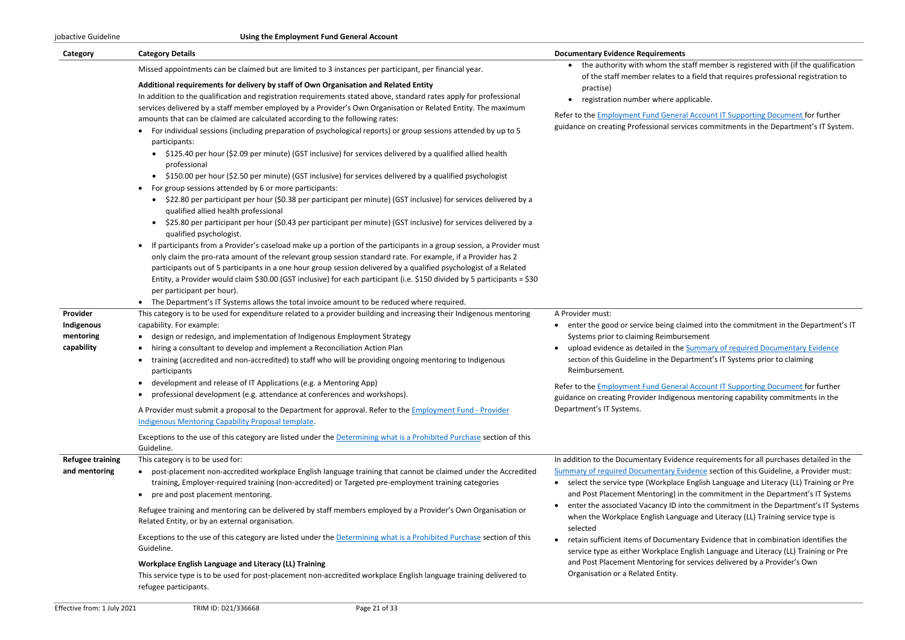| Category                                          | <b>Category Details</b>                                                                                                                                                                                                                                                                                                                                                                                                                                                                                                                                                                                                                                                                                                                                                                                                                                                                                                                                                                                                                                                                                                                                                                                                                                                                                                                                                                                                                                                                                                                                                                                                                                                                                                                                                                                                                                                                                                                                                                                                                                                                                                                                                                                                                                                                                                                                               | <b>Documentary Evidence Requirements</b>                                                                                                                                                                                                                                                                                                                                                             |
|---------------------------------------------------|-----------------------------------------------------------------------------------------------------------------------------------------------------------------------------------------------------------------------------------------------------------------------------------------------------------------------------------------------------------------------------------------------------------------------------------------------------------------------------------------------------------------------------------------------------------------------------------------------------------------------------------------------------------------------------------------------------------------------------------------------------------------------------------------------------------------------------------------------------------------------------------------------------------------------------------------------------------------------------------------------------------------------------------------------------------------------------------------------------------------------------------------------------------------------------------------------------------------------------------------------------------------------------------------------------------------------------------------------------------------------------------------------------------------------------------------------------------------------------------------------------------------------------------------------------------------------------------------------------------------------------------------------------------------------------------------------------------------------------------------------------------------------------------------------------------------------------------------------------------------------------------------------------------------------------------------------------------------------------------------------------------------------------------------------------------------------------------------------------------------------------------------------------------------------------------------------------------------------------------------------------------------------------------------------------------------------------------------------------------------------|------------------------------------------------------------------------------------------------------------------------------------------------------------------------------------------------------------------------------------------------------------------------------------------------------------------------------------------------------------------------------------------------------|
| Provider<br>Indigenous<br>mentoring<br>capability | Missed appointments can be claimed but are limited to 3 instances per participant, per financial year.<br>Additional requirements for delivery by staff of Own Organisation and Related Entity<br>In addition to the qualification and registration requirements stated above, standard rates apply for professional<br>services delivered by a staff member employed by a Provider's Own Organisation or Related Entity. The maximum<br>amounts that can be claimed are calculated according to the following rates:<br>For individual sessions (including preparation of psychological reports) or group sessions attended by up to 5<br>participants:<br>\$125.40 per hour (\$2.09 per minute) (GST inclusive) for services delivered by a qualified allied health<br>professional<br>• \$150.00 per hour (\$2.50 per minute) (GST inclusive) for services delivered by a qualified psychologist<br>For group sessions attended by 6 or more participants:<br>$\bullet$<br>• \$22.80 per participant per hour (\$0.38 per participant per minute) (GST inclusive) for services delivered by a<br>qualified allied health professional<br>\$25.80 per participant per hour (\$0.43 per participant per minute) (GST inclusive) for services delivered by a<br>$\bullet$<br>qualified psychologist.<br>If participants from a Provider's caseload make up a portion of the participants in a group session, a Provider must<br>only claim the pro-rata amount of the relevant group session standard rate. For example, if a Provider has 2<br>participants out of 5 participants in a one hour group session delivered by a qualified psychologist of a Related<br>Entity, a Provider would claim \$30.00 (GST inclusive) for each participant (i.e. \$150 divided by 5 participants = \$30<br>per participant per hour).<br>The Department's IT Systems allows the total invoice amount to be reduced where required.<br>This category is to be used for expenditure related to a provider building and increasing their Indigenous mentoring<br>capability. For example:<br>design or redesign, and implementation of Indigenous Employment Strategy<br>٠<br>hiring a consultant to develop and implement a Reconciliation Action Plan<br>training (accredited and non-accredited) to staff who will be providing ongoing mentoring to Indigenous<br>participants | the authority with whom the s<br>of the staff member relates to<br>practise)<br>registration number where ap<br>Refer to the <b>Employment Fund Genera</b><br>guidance on creating Professional serv<br>A Provider must:<br>enter the good or service being cla<br>Systems prior to claiming Reimbur<br>upload evidence as detailed in the<br>section of this Guideline in the Dep<br>Reimbursement. |
|                                                   | • development and release of IT Applications (e.g. a Mentoring App)<br>professional development (e.g. attendance at conferences and workshops).<br>$\bullet$<br>A Provider must submit a proposal to the Department for approval. Refer to the Employment Fund - Provider<br><b>Indigenous Mentoring Capability Proposal template.</b><br>Exceptions to the use of this category are listed under the Determining what is a Prohibited Purchase section of this                                                                                                                                                                                                                                                                                                                                                                                                                                                                                                                                                                                                                                                                                                                                                                                                                                                                                                                                                                                                                                                                                                                                                                                                                                                                                                                                                                                                                                                                                                                                                                                                                                                                                                                                                                                                                                                                                                       | Refer to the <b>Employment Fund Genera</b><br>guidance on creating Provider Indigene<br>Department's IT Systems.                                                                                                                                                                                                                                                                                     |
|                                                   | Guideline.                                                                                                                                                                                                                                                                                                                                                                                                                                                                                                                                                                                                                                                                                                                                                                                                                                                                                                                                                                                                                                                                                                                                                                                                                                                                                                                                                                                                                                                                                                                                                                                                                                                                                                                                                                                                                                                                                                                                                                                                                                                                                                                                                                                                                                                                                                                                                            |                                                                                                                                                                                                                                                                                                                                                                                                      |
| <b>Refugee training</b><br>and mentoring          | This category is to be used for:<br>post-placement non-accredited workplace English language training that cannot be claimed under the Accredited<br>training, Employer-required training (non-accredited) or Targeted pre-employment training categories<br>pre and post placement mentoring.<br>Refugee training and mentoring can be delivered by staff members employed by a Provider's Own Organisation or                                                                                                                                                                                                                                                                                                                                                                                                                                                                                                                                                                                                                                                                                                                                                                                                                                                                                                                                                                                                                                                                                                                                                                                                                                                                                                                                                                                                                                                                                                                                                                                                                                                                                                                                                                                                                                                                                                                                                       | In addition to the Documentary Evider<br><b>Summary of required Documentary Ev</b><br>select the service type (Workplace<br>and Post Placement Mentoring) in<br>enter the associated Vacancy ID in                                                                                                                                                                                                   |
|                                                   | Related Entity, or by an external organisation.<br>Exceptions to the use of this category are listed under the Determining what is a Prohibited Purchase section of this<br>Guideline.                                                                                                                                                                                                                                                                                                                                                                                                                                                                                                                                                                                                                                                                                                                                                                                                                                                                                                                                                                                                                                                                                                                                                                                                                                                                                                                                                                                                                                                                                                                                                                                                                                                                                                                                                                                                                                                                                                                                                                                                                                                                                                                                                                                | when the Workplace English Langu<br>selected<br>retain sufficient items of Documen                                                                                                                                                                                                                                                                                                                   |
|                                                   | Workplace English Language and Literacy (LL) Training<br>This service type is to be used for post-placement non-accredited workplace English language training delivered to<br>refugee participants.                                                                                                                                                                                                                                                                                                                                                                                                                                                                                                                                                                                                                                                                                                                                                                                                                                                                                                                                                                                                                                                                                                                                                                                                                                                                                                                                                                                                                                                                                                                                                                                                                                                                                                                                                                                                                                                                                                                                                                                                                                                                                                                                                                  | service type as either Workplace E<br>and Post Placement Mentoring for<br>Organisation or a Related Entity.                                                                                                                                                                                                                                                                                          |

staff member is registered with (if the qualification of a field that requires professional registration to

plicable.

al Account IT Supporting Document for further vices commitments in the Department's IT System.

aimed into the commitment in the Department's IT rsement

**Summary of required Documentary Evidence** artment's IT Systems prior to claiming

al Account IT Supporting Document for further ous mentoring capability commitments in the

nce requirements for all purchases detailed in the vidence section of this Guideline, a Provider must: **English Language and Literacy (LL) Training or Pre** I the commitment in the Department's IT Systems to the commitment in the Department's IT Systems uage and Literacy (LL) Training service type is

htary Evidence that in combination identifies the Inglish Language and Literacy (LL) Training or Pre and reprices delivered by a Provider's Own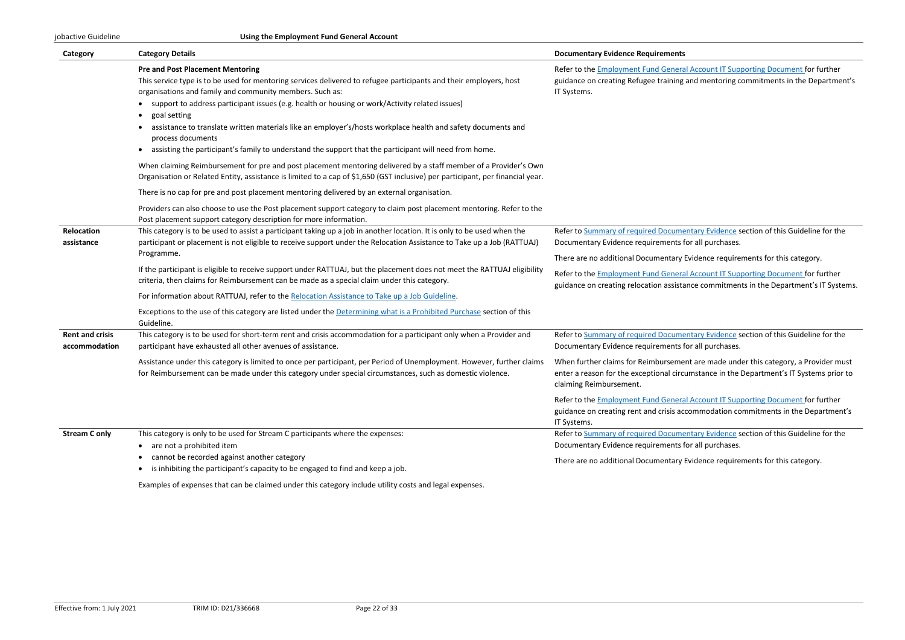#### jobactive Guideline **Using the Employment Fund General Account**

| Category                                | <b>Category Details</b>                                                                                                                                                                                                                                                                                                                                                                                                                                                                                                                                                                      | <b>Documentary Evidence Requirements</b>                                                                  |
|-----------------------------------------|----------------------------------------------------------------------------------------------------------------------------------------------------------------------------------------------------------------------------------------------------------------------------------------------------------------------------------------------------------------------------------------------------------------------------------------------------------------------------------------------------------------------------------------------------------------------------------------------|-----------------------------------------------------------------------------------------------------------|
|                                         | <b>Pre and Post Placement Mentoring</b><br>This service type is to be used for mentoring services delivered to refugee participants and their employers, host<br>organisations and family and community members. Such as:<br>support to address participant issues (e.g. health or housing or work/Activity related issues)<br>goal setting<br>assistance to translate written materials like an employer's/hosts workplace health and safety documents and<br>process documents<br>• assisting the participant's family to understand the support that the participant will need from home. | Refer to the Employment Fund Genera<br>guidance on creating Refugee training<br>IT Systems.               |
|                                         | When claiming Reimbursement for pre and post placement mentoring delivered by a staff member of a Provider's Own<br>Organisation or Related Entity, assistance is limited to a cap of \$1,650 (GST inclusive) per participant, per financial year.                                                                                                                                                                                                                                                                                                                                           |                                                                                                           |
|                                         | There is no cap for pre and post placement mentoring delivered by an external organisation.                                                                                                                                                                                                                                                                                                                                                                                                                                                                                                  |                                                                                                           |
|                                         | Providers can also choose to use the Post placement support category to claim post placement mentoring. Refer to the<br>Post placement support category description for more information.                                                                                                                                                                                                                                                                                                                                                                                                    |                                                                                                           |
| Relocation<br>assistance                | This category is to be used to assist a participant taking up a job in another location. It is only to be used when the<br>participant or placement is not eligible to receive support under the Relocation Assistance to Take up a Job (RATTUAJ)                                                                                                                                                                                                                                                                                                                                            | Refer to Summary of required Docume<br>Documentary Evidence requirements f                                |
|                                         | Programme.                                                                                                                                                                                                                                                                                                                                                                                                                                                                                                                                                                                   | There are no additional Documentary                                                                       |
|                                         | If the participant is eligible to receive support under RATTUAJ, but the placement does not meet the RATTUAJ eligibility<br>criteria, then claims for Reimbursement can be made as a special claim under this category.                                                                                                                                                                                                                                                                                                                                                                      | Refer to the <b>Employment Fund Genera</b><br>guidance on creating relocation assista                     |
|                                         | For information about RATTUAJ, refer to the Relocation Assistance to Take up a Job Guideline.                                                                                                                                                                                                                                                                                                                                                                                                                                                                                                |                                                                                                           |
|                                         | Exceptions to the use of this category are listed under the Determining what is a Prohibited Purchase section of this<br>Guideline.                                                                                                                                                                                                                                                                                                                                                                                                                                                          |                                                                                                           |
| <b>Rent and crisis</b><br>accommodation | This category is to be used for short-term rent and crisis accommodation for a participant only when a Provider and<br>participant have exhausted all other avenues of assistance.                                                                                                                                                                                                                                                                                                                                                                                                           | Refer to Summary of required Docume<br>Documentary Evidence requirements f                                |
|                                         | Assistance under this category is limited to once per participant, per Period of Unemployment. However, further claims<br>for Reimbursement can be made under this category under special circumstances, such as domestic violence.                                                                                                                                                                                                                                                                                                                                                          | When further claims for Reimburseme<br>enter a reason for the exceptional circ<br>claiming Reimbursement. |
|                                         |                                                                                                                                                                                                                                                                                                                                                                                                                                                                                                                                                                                              | Refer to the <b>Employment Fund Genera</b><br>guidance on creating rent and crisis ac<br>IT Systems.      |
| <b>Stream C only</b>                    | This category is only to be used for Stream C participants where the expenses:                                                                                                                                                                                                                                                                                                                                                                                                                                                                                                               | Refer to Summary of required Docume                                                                       |
|                                         | are not a prohibited item<br>$\bullet$                                                                                                                                                                                                                                                                                                                                                                                                                                                                                                                                                       | Documentary Evidence requirements f                                                                       |
|                                         | cannot be recorded against another category<br>is inhibiting the participant's capacity to be engaged to find and keep a job.                                                                                                                                                                                                                                                                                                                                                                                                                                                                | There are no additional Documentary                                                                       |
|                                         | Examples of expenses that can be claimed under this category include utility costs and legal expenses.                                                                                                                                                                                                                                                                                                                                                                                                                                                                                       |                                                                                                           |

al Account IT Supporting Document for further and mentoring commitments in the Department's

entary Evidence section of this Guideline for the for all purchases.

Evidence requirements for this category.

al Account IT Supporting Document for further ance commitments in the Department's IT Systems.

entary Evidence section of this Guideline for the for all purchases.

ent are made under this category, a Provider must cumstance in the Department's IT Systems prior to

al Account IT Supporting Document for further ccommodation commitments in the Department's

entary Evidence section of this Guideline for the for all purchases.

Evidence requirements for this category.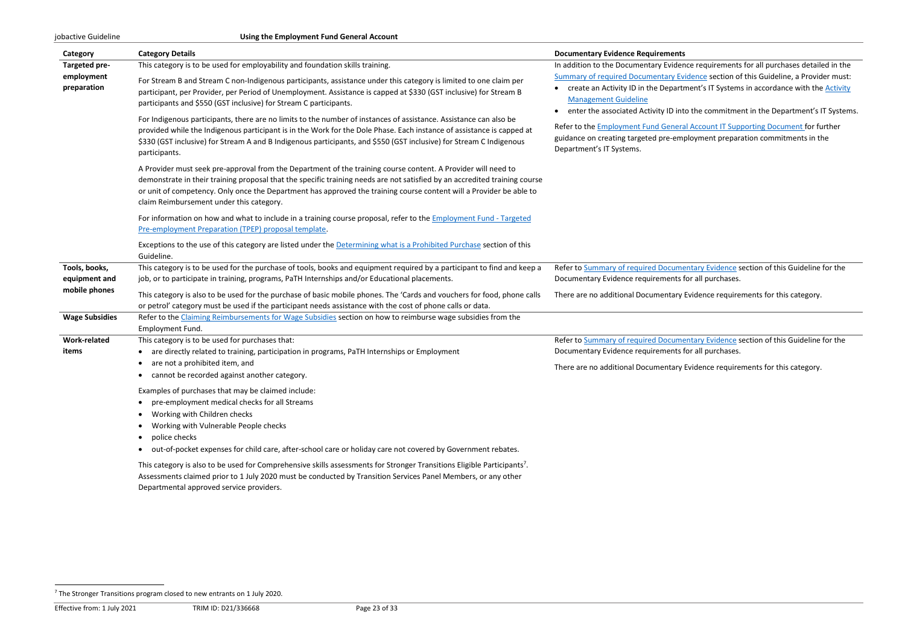| Category                                        | <b>Category Details</b>                                                                                                                                                                                                                                                                                                                                                                                        | <b>Documentary Evidence Requirements</b>                                                                                                               |
|-------------------------------------------------|----------------------------------------------------------------------------------------------------------------------------------------------------------------------------------------------------------------------------------------------------------------------------------------------------------------------------------------------------------------------------------------------------------------|--------------------------------------------------------------------------------------------------------------------------------------------------------|
| Targeted pre-                                   | This category is to be used for employability and foundation skills training.                                                                                                                                                                                                                                                                                                                                  | In addition to the Documentary Evider                                                                                                                  |
| employment<br>preparation                       | For Stream B and Stream C non-Indigenous participants, assistance under this category is limited to one claim per<br>participant, per Provider, per Period of Unemployment. Assistance is capped at \$330 (GST inclusive) for Stream B<br>participants and \$550 (GST inclusive) for Stream C participants.                                                                                                    | <b>Summary of required Documentary Ev</b><br>create an Activity ID in the Departr<br><b>Management Guideline</b>                                       |
|                                                 | For Indigenous participants, there are no limits to the number of instances of assistance. Assistance can also be<br>provided while the Indigenous participant is in the Work for the Dole Phase. Each instance of assistance is capped at<br>\$330 (GST inclusive) for Stream A and B Indigenous participants, and \$550 (GST inclusive) for Stream C Indigenous<br>participants.                             | enter the associated Activity ID int<br>Refer to the <b>Employment Fund Genera</b><br>guidance on creating targeted pre-em<br>Department's IT Systems. |
|                                                 | A Provider must seek pre-approval from the Department of the training course content. A Provider will need to<br>demonstrate in their training proposal that the specific training needs are not satisfied by an accredited training course<br>or unit of competency. Only once the Department has approved the training course content will a Provider be able to<br>claim Reimbursement under this category. |                                                                                                                                                        |
|                                                 | For information on how and what to include in a training course proposal, refer to the Employment Fund - Targeted<br>Pre-employment Preparation (TPEP) proposal template.                                                                                                                                                                                                                                      |                                                                                                                                                        |
|                                                 | Exceptions to the use of this category are listed under the Determining what is a Prohibited Purchase section of this<br>Guideline.                                                                                                                                                                                                                                                                            |                                                                                                                                                        |
| Tools, books,<br>equipment and<br>mobile phones | This category is to be used for the purchase of tools, books and equipment required by a participant to find and keep a<br>job, or to participate in training, programs, PaTH Internships and/or Educational placements.<br>This category is also to be used for the purchase of basic mobile phones. The 'Cards and vouchers for food, phone calls                                                            | Refer to Summary of required Docume<br>Documentary Evidence requirements f<br>There are no additional Documentary                                      |
| <b>Wage Subsidies</b>                           | or petrol' category must be used if the participant needs assistance with the cost of phone calls or data.<br>Refer to the Claiming Reimbursements for Wage Subsidies section on how to reimburse wage subsidies from the<br>Employment Fund.                                                                                                                                                                  |                                                                                                                                                        |
| <b>Work-related</b><br>items                    | This category is to be used for purchases that:<br>are directly related to training, participation in programs, PaTH Internships or Employment<br>are not a prohibited item, and<br>$\bullet$<br>cannot be recorded against another category.                                                                                                                                                                  | Refer to Summary of required Docume<br>Documentary Evidence requirements f<br>There are no additional Documentary                                      |
|                                                 | Examples of purchases that may be claimed include:<br>pre-employment medical checks for all Streams<br>Working with Children checks<br>$\bullet$<br>Working with Vulnerable People checks<br>$\bullet$<br>police checks<br>$\bullet$<br>out-of-pocket expenses for child care, after-school care or holiday care not covered by Government rebates.<br>$\bullet$                                               |                                                                                                                                                        |
|                                                 | This category is also to be used for Comprehensive skills assessments for Stronger Transitions Eligible Participants <sup>7</sup> .                                                                                                                                                                                                                                                                            |                                                                                                                                                        |

Assessments claimed prior to 1 July 2020 must be conducted by Transition Services Panel Members, or any other Departmental approved service providers.

nce requirements for all purchases detailed in the idence section of this Guideline, a Provider must: ment's IT Systems in accordance with the **Activity** 

to the commitment in the Department's IT Systems.

al Account IT Supporting Document for further ployment preparation commitments in the

entary Evidence section of this Guideline for the for all purchases.

Evidence requirements for this category.

entary Evidence section of this Guideline for the for all purchases.

Evidence requirements for this category.

<sup>7</sup> The Stronger Transitions program closed to new entrants on 1 July 2020.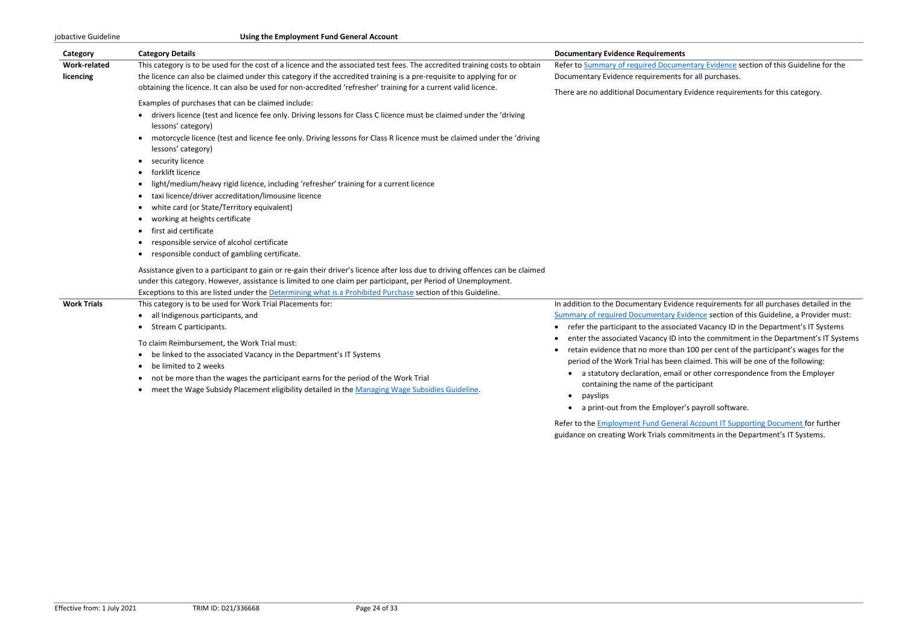#### jobactive Guideline **Using the Employment Fund General Account**

| Category            | <b>Category Details</b>                                                                                                                     | <b>Documentary Evidence Requirements</b>                             |
|---------------------|---------------------------------------------------------------------------------------------------------------------------------------------|----------------------------------------------------------------------|
| <b>Work-related</b> | This category is to be used for the cost of a licence and the associated test fees. The accredited training costs to obtain                 | Refer to Summary of required Documen                                 |
| licencing           | the licence can also be claimed under this category if the accredited training is a pre-requisite to applying for or                        | Documentary Evidence requirements fo                                 |
|                     | obtaining the licence. It can also be used for non-accredited 'refresher' training for a current valid licence.                             | There are no additional Documentary Ev                               |
|                     | Examples of purchases that can be claimed include:                                                                                          |                                                                      |
|                     | drivers licence (test and licence fee only. Driving lessons for Class C licence must be claimed under the 'driving<br>lessons' category)    |                                                                      |
|                     | motorcycle licence (test and licence fee only. Driving lessons for Class R licence must be claimed under the 'driving<br>lessons' category) |                                                                      |
|                     | security licence                                                                                                                            |                                                                      |
|                     | forklift licence                                                                                                                            |                                                                      |
|                     | light/medium/heavy rigid licence, including 'refresher' training for a current licence                                                      |                                                                      |
|                     | taxi licence/driver accreditation/limousine licence                                                                                         |                                                                      |
|                     | white card (or State/Territory equivalent)                                                                                                  |                                                                      |
|                     | working at heights certificate                                                                                                              |                                                                      |
|                     | first aid certificate                                                                                                                       |                                                                      |
|                     | responsible service of alcohol certificate                                                                                                  |                                                                      |
|                     | responsible conduct of gambling certificate.                                                                                                |                                                                      |
|                     | Assistance given to a participant to gain or re-gain their driver's licence after loss due to driving offences can be claimed               |                                                                      |
|                     | under this category. However, assistance is limited to one claim per participant, per Period of Unemployment.                               |                                                                      |
|                     | Exceptions to this are listed under the Determining what is a Prohibited Purchase section of this Guideline.                                |                                                                      |
| <b>Work Trials</b>  | This category is to be used for Work Trial Placements for:                                                                                  | In addition to the Documentary Evidenc                               |
|                     | all Indigenous participants, and<br>$\bullet$                                                                                               | <b>Summary of required Documentary Evid</b>                          |
|                     | Stream C participants.                                                                                                                      | refer the participant to the associate<br>$\bullet$                  |
|                     | To claim Reimbursement, the Work Trial must:                                                                                                | enter the associated Vacancy ID into                                 |
|                     | be linked to the associated Vacancy in the Department's IT Systems                                                                          | retain evidence that no more than 1                                  |
|                     | be limited to 2 weeks                                                                                                                       | period of the Work Trial has been cla                                |
|                     | not be more than the wages the participant earns for the period of the Work Trial                                                           | a statutory declaration, email or<br>contoining the nome of the nort |

• meet the Wage Subsidy Placement eligibility detailed in th[e Managing Wage Subsidies Guideline.](https://ecsnaccessintranet.hosts.application.enet/ProviderPortal/jobactive/Guidelines/Pages/Employment-Fund-and-Subsidies.aspx)

- containing the name of the participant
- payslips
- a print-out from the Employer's payroll software.

Refer to th[e Employment Fund General Account IT Supporting Document](https://ecsnaccessintranet.hosts.application.enet/ProviderPortal/jobactive/Guidelines/Pages/Employment-Fund-and-Subsidies.aspx) for further guidance on creating Work Trials commitments in the Department's IT Systems.

Itary Evidence section of this Guideline for the or all purchases.

vidence requirements for this category.

In addition to the Documentary Evidence requirements for all purchases detailed in the **Summary of this Guideline, a Provider must:** ed Vacancy ID in the Department's IT Systems o the commitment in the Department's IT Systems 100 per cent of the participant's wages for the laimed. This will be one of the following: r other correspondence from the Employer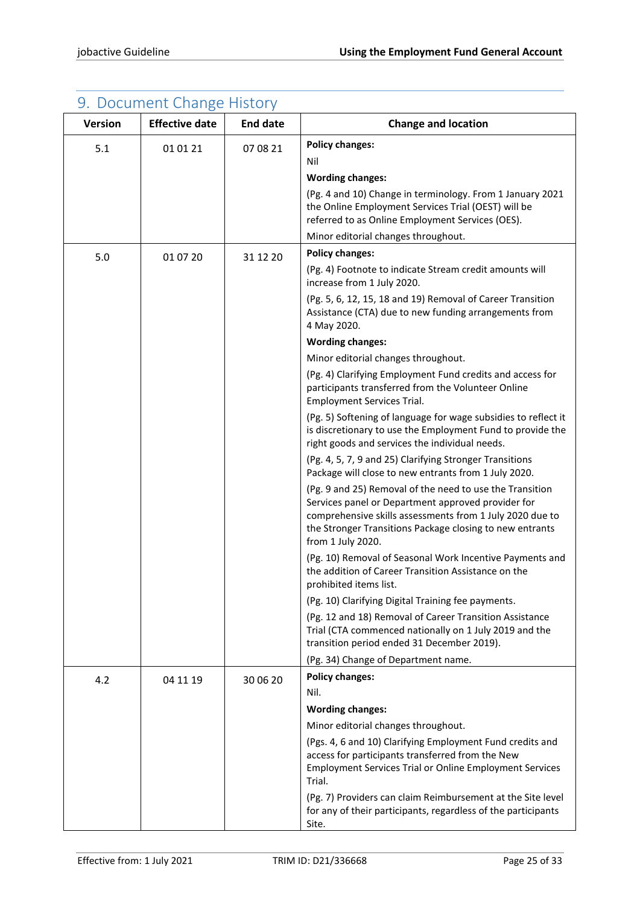<span id="page-24-0"></span>

| Version | 9. Document Change History<br><b>Effective date</b> | <b>End date</b> | <b>Change and location</b>                                                                                                                                                                                                                                  |
|---------|-----------------------------------------------------|-----------------|-------------------------------------------------------------------------------------------------------------------------------------------------------------------------------------------------------------------------------------------------------------|
| 5.1     | 01 01 21                                            | 07 08 21        | <b>Policy changes:</b>                                                                                                                                                                                                                                      |
|         |                                                     |                 | Nil                                                                                                                                                                                                                                                         |
|         |                                                     |                 | <b>Wording changes:</b>                                                                                                                                                                                                                                     |
|         |                                                     |                 | (Pg. 4 and 10) Change in terminology. From 1 January 2021<br>the Online Employment Services Trial (OEST) will be<br>referred to as Online Employment Services (OES).                                                                                        |
|         |                                                     |                 | Minor editorial changes throughout.                                                                                                                                                                                                                         |
| 5.0     | 01 07 20                                            | 31 12 20        | <b>Policy changes:</b>                                                                                                                                                                                                                                      |
|         |                                                     |                 | (Pg. 4) Footnote to indicate Stream credit amounts will<br>increase from 1 July 2020.                                                                                                                                                                       |
|         |                                                     |                 | (Pg. 5, 6, 12, 15, 18 and 19) Removal of Career Transition<br>Assistance (CTA) due to new funding arrangements from<br>4 May 2020.                                                                                                                          |
|         |                                                     |                 | <b>Wording changes:</b>                                                                                                                                                                                                                                     |
|         |                                                     |                 | Minor editorial changes throughout.                                                                                                                                                                                                                         |
|         |                                                     |                 | (Pg. 4) Clarifying Employment Fund credits and access for<br>participants transferred from the Volunteer Online<br><b>Employment Services Trial.</b>                                                                                                        |
|         |                                                     |                 | (Pg. 5) Softening of language for wage subsidies to reflect it<br>is discretionary to use the Employment Fund to provide the<br>right goods and services the individual needs.                                                                              |
|         |                                                     |                 | (Pg. 4, 5, 7, 9 and 25) Clarifying Stronger Transitions<br>Package will close to new entrants from 1 July 2020.                                                                                                                                             |
|         |                                                     |                 | (Pg. 9 and 25) Removal of the need to use the Transition<br>Services panel or Department approved provider for<br>comprehensive skills assessments from 1 July 2020 due to<br>the Stronger Transitions Package closing to new entrants<br>from 1 July 2020. |
|         |                                                     |                 | (Pg. 10) Removal of Seasonal Work Incentive Payments and<br>the addition of Career Transition Assistance on the<br>prohibited items list.                                                                                                                   |
|         |                                                     |                 | (Pg. 10) Clarifying Digital Training fee payments.                                                                                                                                                                                                          |
|         |                                                     |                 | (Pg. 12 and 18) Removal of Career Transition Assistance<br>Trial (CTA commenced nationally on 1 July 2019 and the<br>transition period ended 31 December 2019).                                                                                             |
|         |                                                     |                 | (Pg. 34) Change of Department name.                                                                                                                                                                                                                         |
| 4.2     | 04 11 19                                            | 30 06 20        | <b>Policy changes:</b>                                                                                                                                                                                                                                      |
|         |                                                     |                 | Nil.                                                                                                                                                                                                                                                        |
|         |                                                     |                 | <b>Wording changes:</b>                                                                                                                                                                                                                                     |
|         |                                                     |                 | Minor editorial changes throughout.                                                                                                                                                                                                                         |
|         |                                                     |                 | (Pgs. 4, 6 and 10) Clarifying Employment Fund credits and<br>access for participants transferred from the New<br><b>Employment Services Trial or Online Employment Services</b><br>Trial.                                                                   |
|         |                                                     |                 | (Pg. 7) Providers can claim Reimbursement at the Site level<br>for any of their participants, regardless of the participants<br>Site.                                                                                                                       |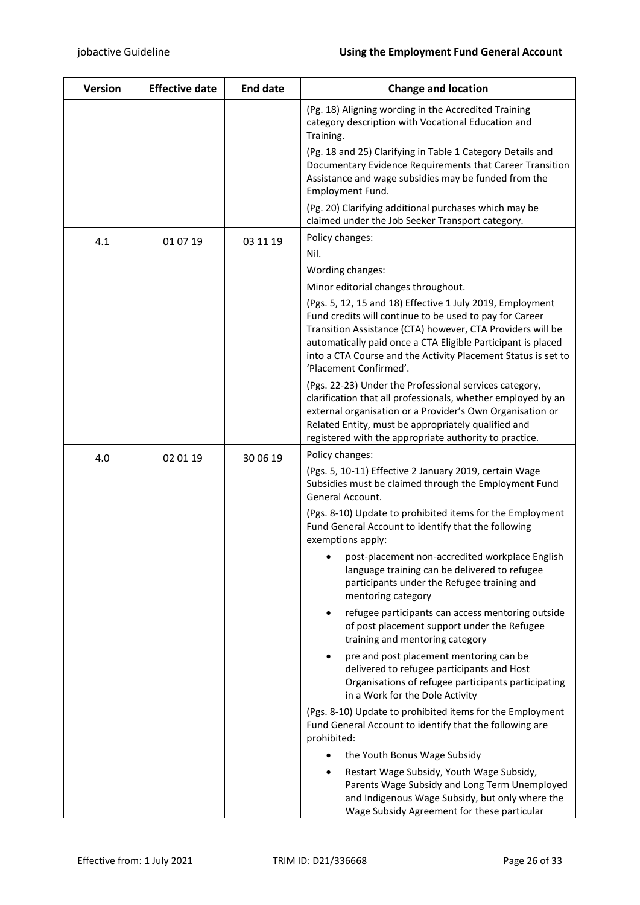| <b>Version</b> | <b>Effective date</b> | <b>End date</b> | <b>Change and location</b>                                                                                                                                                                                                                                                                                                                    |
|----------------|-----------------------|-----------------|-----------------------------------------------------------------------------------------------------------------------------------------------------------------------------------------------------------------------------------------------------------------------------------------------------------------------------------------------|
|                |                       |                 | (Pg. 18) Aligning wording in the Accredited Training<br>category description with Vocational Education and<br>Training.                                                                                                                                                                                                                       |
|                |                       |                 | (Pg. 18 and 25) Clarifying in Table 1 Category Details and<br>Documentary Evidence Requirements that Career Transition<br>Assistance and wage subsidies may be funded from the<br>Employment Fund.                                                                                                                                            |
|                |                       |                 | (Pg. 20) Clarifying additional purchases which may be<br>claimed under the Job Seeker Transport category.                                                                                                                                                                                                                                     |
| 4.1            | 01 07 19              | 03 11 19        | Policy changes:<br>Nil.                                                                                                                                                                                                                                                                                                                       |
|                |                       |                 | Wording changes:<br>Minor editorial changes throughout.                                                                                                                                                                                                                                                                                       |
|                |                       |                 | (Pgs. 5, 12, 15 and 18) Effective 1 July 2019, Employment<br>Fund credits will continue to be used to pay for Career<br>Transition Assistance (CTA) however, CTA Providers will be<br>automatically paid once a CTA Eligible Participant is placed<br>into a CTA Course and the Activity Placement Status is set to<br>'Placement Confirmed'. |
|                |                       |                 | (Pgs. 22-23) Under the Professional services category,<br>clarification that all professionals, whether employed by an<br>external organisation or a Provider's Own Organisation or<br>Related Entity, must be appropriately qualified and<br>registered with the appropriate authority to practice.                                          |
| 4.0            | 02 01 19              | 30 06 19        | Policy changes:                                                                                                                                                                                                                                                                                                                               |
|                |                       |                 | (Pgs. 5, 10-11) Effective 2 January 2019, certain Wage<br>Subsidies must be claimed through the Employment Fund<br>General Account.                                                                                                                                                                                                           |
|                |                       |                 | (Pgs. 8-10) Update to prohibited items for the Employment<br>Fund General Account to identify that the following<br>exemptions apply:                                                                                                                                                                                                         |
|                |                       |                 | post-placement non-accredited workplace English<br>language training can be delivered to refugee<br>participants under the Refugee training and<br>mentoring category                                                                                                                                                                         |
|                |                       |                 | refugee participants can access mentoring outside<br>of post placement support under the Refugee<br>training and mentoring category                                                                                                                                                                                                           |
|                |                       |                 | pre and post placement mentoring can be<br>delivered to refugee participants and Host<br>Organisations of refugee participants participating<br>in a Work for the Dole Activity                                                                                                                                                               |
|                |                       |                 | (Pgs. 8-10) Update to prohibited items for the Employment<br>Fund General Account to identify that the following are<br>prohibited:                                                                                                                                                                                                           |
|                |                       |                 | the Youth Bonus Wage Subsidy                                                                                                                                                                                                                                                                                                                  |
|                |                       |                 | Restart Wage Subsidy, Youth Wage Subsidy,<br>Parents Wage Subsidy and Long Term Unemployed<br>and Indigenous Wage Subsidy, but only where the<br>Wage Subsidy Agreement for these particular                                                                                                                                                  |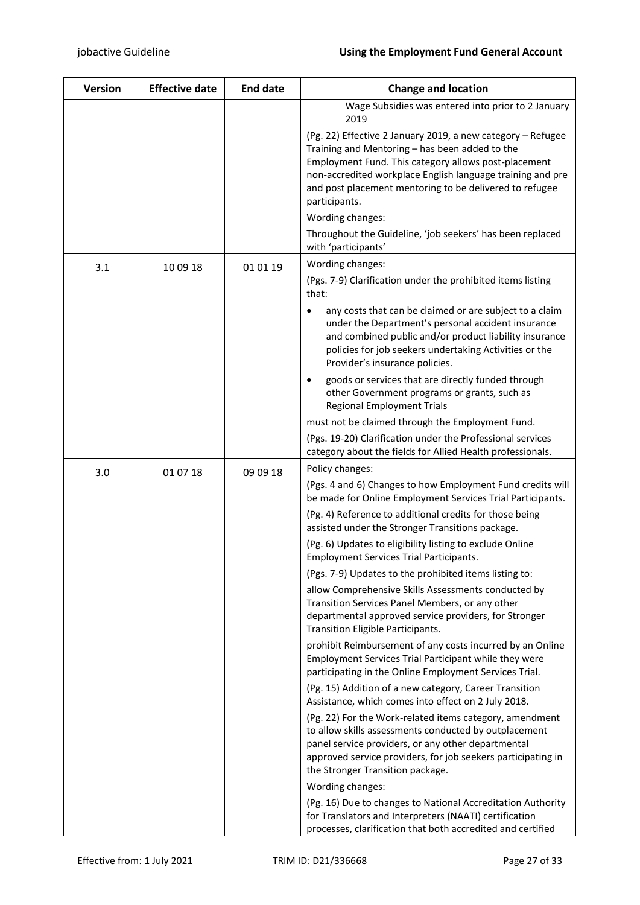| <b>Version</b> | <b>Effective date</b> | <b>End date</b> | <b>Change and location</b>                                                                                                                                                                                                                                                                                      |
|----------------|-----------------------|-----------------|-----------------------------------------------------------------------------------------------------------------------------------------------------------------------------------------------------------------------------------------------------------------------------------------------------------------|
|                |                       |                 | Wage Subsidies was entered into prior to 2 January<br>2019                                                                                                                                                                                                                                                      |
|                |                       |                 | (Pg. 22) Effective 2 January 2019, a new category - Refugee<br>Training and Mentoring - has been added to the<br>Employment Fund. This category allows post-placement<br>non-accredited workplace English language training and pre<br>and post placement mentoring to be delivered to refugee<br>participants. |
|                |                       |                 | Wording changes:                                                                                                                                                                                                                                                                                                |
|                |                       |                 | Throughout the Guideline, 'job seekers' has been replaced<br>with 'participants'                                                                                                                                                                                                                                |
| 3.1            | 10 09 18              | 01 01 19        | Wording changes:                                                                                                                                                                                                                                                                                                |
|                |                       |                 | (Pgs. 7-9) Clarification under the prohibited items listing<br>that:                                                                                                                                                                                                                                            |
|                |                       |                 | any costs that can be claimed or are subject to a claim<br>under the Department's personal accident insurance<br>and combined public and/or product liability insurance<br>policies for job seekers undertaking Activities or the<br>Provider's insurance policies.                                             |
|                |                       |                 | goods or services that are directly funded through<br>$\bullet$<br>other Government programs or grants, such as<br><b>Regional Employment Trials</b>                                                                                                                                                            |
|                |                       |                 | must not be claimed through the Employment Fund.                                                                                                                                                                                                                                                                |
|                |                       |                 | (Pgs. 19-20) Clarification under the Professional services<br>category about the fields for Allied Health professionals.                                                                                                                                                                                        |
| 3.0            | 01 07 18              | 09 09 18        | Policy changes:                                                                                                                                                                                                                                                                                                 |
|                |                       |                 | (Pgs. 4 and 6) Changes to how Employment Fund credits will<br>be made for Online Employment Services Trial Participants.                                                                                                                                                                                        |
|                |                       |                 | (Pg. 4) Reference to additional credits for those being<br>assisted under the Stronger Transitions package.                                                                                                                                                                                                     |
|                |                       |                 | (Pg. 6) Updates to eligibility listing to exclude Online<br><b>Employment Services Trial Participants.</b>                                                                                                                                                                                                      |
|                |                       |                 | (Pgs. 7-9) Updates to the prohibited items listing to:                                                                                                                                                                                                                                                          |
|                |                       |                 | allow Comprehensive Skills Assessments conducted by<br>Transition Services Panel Members, or any other<br>departmental approved service providers, for Stronger<br>Transition Eligible Participants.                                                                                                            |
|                |                       |                 | prohibit Reimbursement of any costs incurred by an Online<br>Employment Services Trial Participant while they were<br>participating in the Online Employment Services Trial.                                                                                                                                    |
|                |                       |                 | (Pg. 15) Addition of a new category, Career Transition<br>Assistance, which comes into effect on 2 July 2018.                                                                                                                                                                                                   |
|                |                       |                 | (Pg. 22) For the Work-related items category, amendment<br>to allow skills assessments conducted by outplacement<br>panel service providers, or any other departmental<br>approved service providers, for job seekers participating in<br>the Stronger Transition package.                                      |
|                |                       |                 | Wording changes:                                                                                                                                                                                                                                                                                                |
|                |                       |                 | (Pg. 16) Due to changes to National Accreditation Authority<br>for Translators and Interpreters (NAATI) certification<br>processes, clarification that both accredited and certified                                                                                                                            |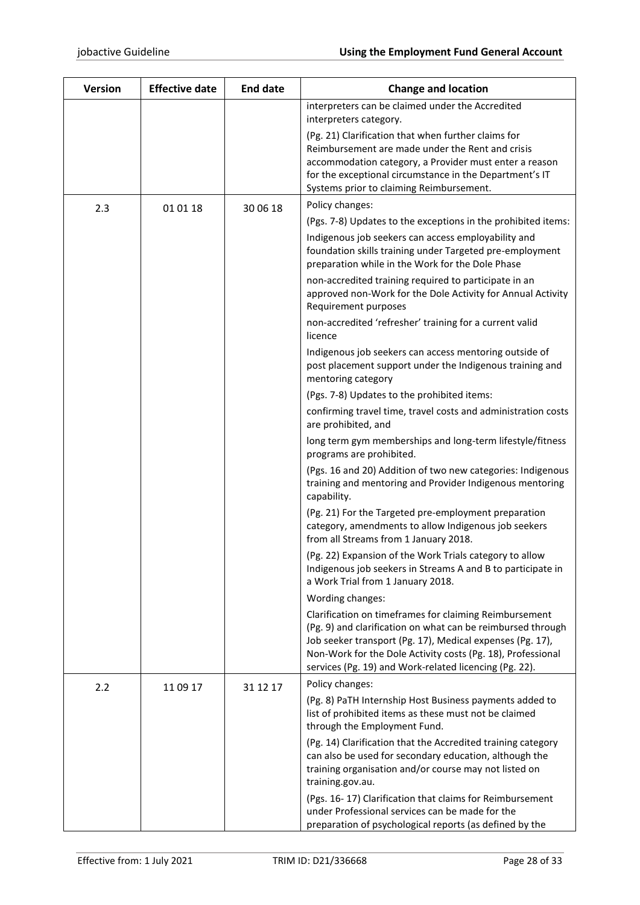| <b>Version</b> | <b>Effective date</b> | <b>End date</b> | <b>Change and location</b>                                                                                                                                                                                                                                                                                  |
|----------------|-----------------------|-----------------|-------------------------------------------------------------------------------------------------------------------------------------------------------------------------------------------------------------------------------------------------------------------------------------------------------------|
|                |                       |                 | interpreters can be claimed under the Accredited                                                                                                                                                                                                                                                            |
|                |                       |                 | interpreters category.                                                                                                                                                                                                                                                                                      |
|                |                       |                 | (Pg. 21) Clarification that when further claims for<br>Reimbursement are made under the Rent and crisis<br>accommodation category, a Provider must enter a reason<br>for the exceptional circumstance in the Department's IT<br>Systems prior to claiming Reimbursement.                                    |
| 2.3            | 01 01 18              | 30 06 18        | Policy changes:                                                                                                                                                                                                                                                                                             |
|                |                       |                 | (Pgs. 7-8) Updates to the exceptions in the prohibited items:                                                                                                                                                                                                                                               |
|                |                       |                 | Indigenous job seekers can access employability and<br>foundation skills training under Targeted pre-employment<br>preparation while in the Work for the Dole Phase                                                                                                                                         |
|                |                       |                 | non-accredited training required to participate in an<br>approved non-Work for the Dole Activity for Annual Activity<br>Requirement purposes                                                                                                                                                                |
|                |                       |                 | non-accredited 'refresher' training for a current valid<br>licence                                                                                                                                                                                                                                          |
|                |                       |                 | Indigenous job seekers can access mentoring outside of<br>post placement support under the Indigenous training and<br>mentoring category                                                                                                                                                                    |
|                |                       |                 | (Pgs. 7-8) Updates to the prohibited items:                                                                                                                                                                                                                                                                 |
|                |                       |                 | confirming travel time, travel costs and administration costs<br>are prohibited, and                                                                                                                                                                                                                        |
|                |                       |                 | long term gym memberships and long-term lifestyle/fitness<br>programs are prohibited.                                                                                                                                                                                                                       |
|                |                       |                 | (Pgs. 16 and 20) Addition of two new categories: Indigenous<br>training and mentoring and Provider Indigenous mentoring<br>capability.                                                                                                                                                                      |
|                |                       |                 | (Pg. 21) For the Targeted pre-employment preparation<br>category, amendments to allow Indigenous job seekers<br>from all Streams from 1 January 2018.                                                                                                                                                       |
|                |                       |                 | (Pg. 22) Expansion of the Work Trials category to allow<br>Indigenous job seekers in Streams A and B to participate in<br>a Work Trial from 1 January 2018.                                                                                                                                                 |
|                |                       |                 | Wording changes:                                                                                                                                                                                                                                                                                            |
|                |                       |                 | Clarification on timeframes for claiming Reimbursement<br>(Pg. 9) and clarification on what can be reimbursed through<br>Job seeker transport (Pg. 17), Medical expenses (Pg. 17),<br>Non-Work for the Dole Activity costs (Pg. 18), Professional<br>services (Pg. 19) and Work-related licencing (Pg. 22). |
| 2.2            | 11 09 17              | 31 12 17        | Policy changes:                                                                                                                                                                                                                                                                                             |
|                |                       |                 | (Pg. 8) PaTH Internship Host Business payments added to<br>list of prohibited items as these must not be claimed<br>through the Employment Fund.                                                                                                                                                            |
|                |                       |                 | (Pg. 14) Clarification that the Accredited training category<br>can also be used for secondary education, although the<br>training organisation and/or course may not listed on<br>training.gov.au.                                                                                                         |
|                |                       |                 | (Pgs. 16-17) Clarification that claims for Reimbursement<br>under Professional services can be made for the<br>preparation of psychological reports (as defined by the                                                                                                                                      |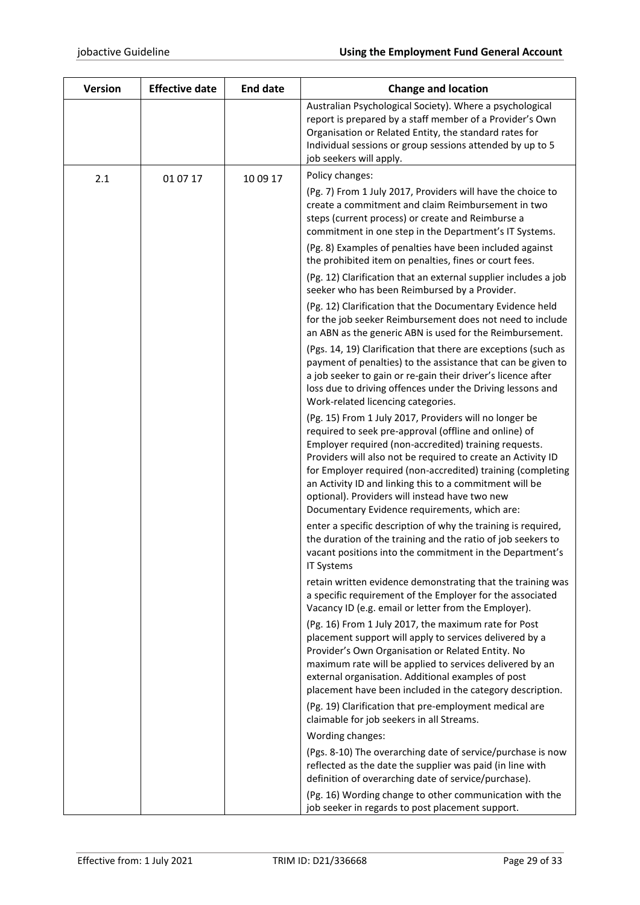| Version | <b>Effective date</b> | <b>End date</b> | <b>Change and location</b>                                                                                                                                                                                                                                                                                                                                                                                                                                            |
|---------|-----------------------|-----------------|-----------------------------------------------------------------------------------------------------------------------------------------------------------------------------------------------------------------------------------------------------------------------------------------------------------------------------------------------------------------------------------------------------------------------------------------------------------------------|
|         |                       |                 | Australian Psychological Society). Where a psychological<br>report is prepared by a staff member of a Provider's Own<br>Organisation or Related Entity, the standard rates for<br>Individual sessions or group sessions attended by up to 5<br>job seekers will apply.                                                                                                                                                                                                |
| 2.1     | 01 07 17              | 10 09 17        | Policy changes:                                                                                                                                                                                                                                                                                                                                                                                                                                                       |
|         |                       |                 | (Pg. 7) From 1 July 2017, Providers will have the choice to<br>create a commitment and claim Reimbursement in two<br>steps (current process) or create and Reimburse a<br>commitment in one step in the Department's IT Systems.                                                                                                                                                                                                                                      |
|         |                       |                 | (Pg. 8) Examples of penalties have been included against<br>the prohibited item on penalties, fines or court fees.                                                                                                                                                                                                                                                                                                                                                    |
|         |                       |                 | (Pg. 12) Clarification that an external supplier includes a job<br>seeker who has been Reimbursed by a Provider.                                                                                                                                                                                                                                                                                                                                                      |
|         |                       |                 | (Pg. 12) Clarification that the Documentary Evidence held<br>for the job seeker Reimbursement does not need to include<br>an ABN as the generic ABN is used for the Reimbursement.                                                                                                                                                                                                                                                                                    |
|         |                       |                 | (Pgs. 14, 19) Clarification that there are exceptions (such as<br>payment of penalties) to the assistance that can be given to<br>a job seeker to gain or re-gain their driver's licence after<br>loss due to driving offences under the Driving lessons and<br>Work-related licencing categories.                                                                                                                                                                    |
|         |                       |                 | (Pg. 15) From 1 July 2017, Providers will no longer be<br>required to seek pre-approval (offline and online) of<br>Employer required (non-accredited) training requests.<br>Providers will also not be required to create an Activity ID<br>for Employer required (non-accredited) training (completing<br>an Activity ID and linking this to a commitment will be<br>optional). Providers will instead have two new<br>Documentary Evidence requirements, which are: |
|         |                       |                 | enter a specific description of why the training is required,<br>the duration of the training and the ratio of job seekers to<br>vacant positions into the commitment in the Department's<br><b>IT Systems</b>                                                                                                                                                                                                                                                        |
|         |                       |                 | retain written evidence demonstrating that the training was<br>a specific requirement of the Employer for the associated<br>Vacancy ID (e.g. email or letter from the Employer).                                                                                                                                                                                                                                                                                      |
|         |                       |                 | (Pg. 16) From 1 July 2017, the maximum rate for Post<br>placement support will apply to services delivered by a<br>Provider's Own Organisation or Related Entity. No<br>maximum rate will be applied to services delivered by an<br>external organisation. Additional examples of post<br>placement have been included in the category description.                                                                                                                   |
|         |                       |                 | (Pg. 19) Clarification that pre-employment medical are<br>claimable for job seekers in all Streams.                                                                                                                                                                                                                                                                                                                                                                   |
|         |                       |                 | Wording changes:                                                                                                                                                                                                                                                                                                                                                                                                                                                      |
|         |                       |                 | (Pgs. 8-10) The overarching date of service/purchase is now<br>reflected as the date the supplier was paid (in line with<br>definition of overarching date of service/purchase).                                                                                                                                                                                                                                                                                      |
|         |                       |                 | (Pg. 16) Wording change to other communication with the<br>job seeker in regards to post placement support.                                                                                                                                                                                                                                                                                                                                                           |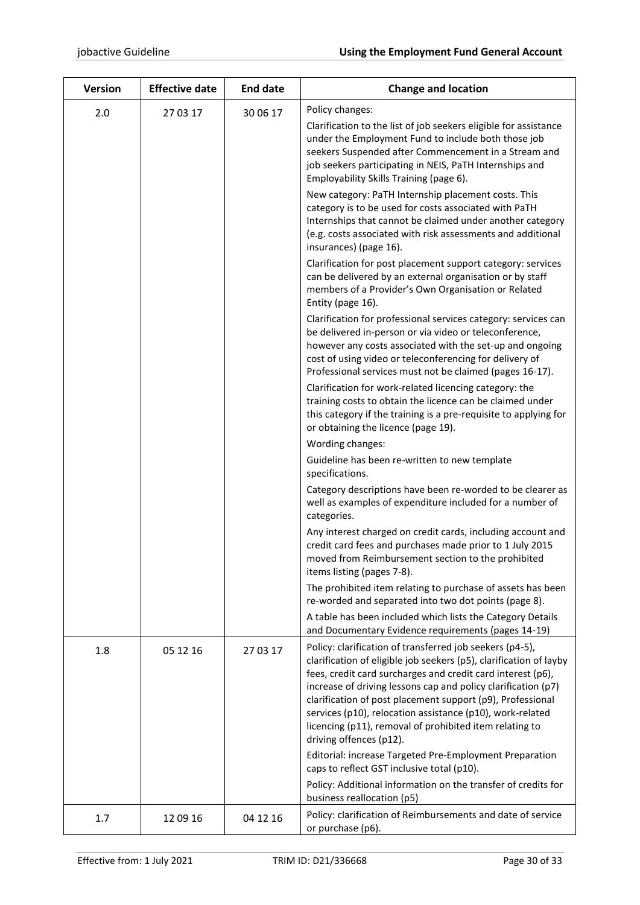| <b>Version</b> | <b>Effective date</b> | <b>End date</b> | <b>Change and location</b>                                                                                                                                                                                                                                                                                                                                                                                                                                                      |
|----------------|-----------------------|-----------------|---------------------------------------------------------------------------------------------------------------------------------------------------------------------------------------------------------------------------------------------------------------------------------------------------------------------------------------------------------------------------------------------------------------------------------------------------------------------------------|
| 2.0            | 27 03 17              | 30 06 17        | Policy changes:                                                                                                                                                                                                                                                                                                                                                                                                                                                                 |
|                |                       |                 | Clarification to the list of job seekers eligible for assistance<br>under the Employment Fund to include both those job<br>seekers Suspended after Commencement in a Stream and<br>job seekers participating in NEIS, PaTH Internships and<br>Employability Skills Training (page 6).                                                                                                                                                                                           |
|                |                       |                 | New category: PaTH Internship placement costs. This<br>category is to be used for costs associated with PaTH<br>Internships that cannot be claimed under another category<br>(e.g. costs associated with risk assessments and additional<br>insurances) (page 16).                                                                                                                                                                                                              |
|                |                       |                 | Clarification for post placement support category: services<br>can be delivered by an external organisation or by staff<br>members of a Provider's Own Organisation or Related<br>Entity (page 16).                                                                                                                                                                                                                                                                             |
|                |                       |                 | Clarification for professional services category: services can<br>be delivered in-person or via video or teleconference,<br>however any costs associated with the set-up and ongoing<br>cost of using video or teleconferencing for delivery of<br>Professional services must not be claimed (pages 16-17).                                                                                                                                                                     |
|                |                       |                 | Clarification for work-related licencing category: the<br>training costs to obtain the licence can be claimed under<br>this category if the training is a pre-requisite to applying for<br>or obtaining the licence (page 19).                                                                                                                                                                                                                                                  |
|                |                       |                 | Wording changes:                                                                                                                                                                                                                                                                                                                                                                                                                                                                |
|                |                       |                 | Guideline has been re-written to new template<br>specifications.                                                                                                                                                                                                                                                                                                                                                                                                                |
|                |                       |                 | Category descriptions have been re-worded to be clearer as<br>well as examples of expenditure included for a number of<br>categories.                                                                                                                                                                                                                                                                                                                                           |
|                |                       |                 | Any interest charged on credit cards, including account and<br>credit card fees and purchases made prior to 1 July 2015<br>moved from Reimbursement section to the prohibited<br>items listing (pages 7-8).                                                                                                                                                                                                                                                                     |
|                |                       |                 | The prohibited item relating to purchase of assets has been<br>re-worded and separated into two dot points (page 8).                                                                                                                                                                                                                                                                                                                                                            |
|                |                       |                 | A table has been included which lists the Category Details<br>and Documentary Evidence requirements (pages 14-19)                                                                                                                                                                                                                                                                                                                                                               |
| 1.8            | 05 12 16              | 27 03 17        | Policy: clarification of transferred job seekers (p4-5),<br>clarification of eligible job seekers (p5), clarification of layby<br>fees, credit card surcharges and credit card interest (p6),<br>increase of driving lessons cap and policy clarification (p7)<br>clarification of post placement support (p9), Professional<br>services (p10), relocation assistance (p10), work-related<br>licencing (p11), removal of prohibited item relating to<br>driving offences (p12). |
|                |                       |                 | Editorial: increase Targeted Pre-Employment Preparation<br>caps to reflect GST inclusive total (p10).                                                                                                                                                                                                                                                                                                                                                                           |
|                |                       |                 | Policy: Additional information on the transfer of credits for<br>business reallocation (p5)                                                                                                                                                                                                                                                                                                                                                                                     |
| 1.7            | 12 09 16              | 04 12 16        | Policy: clarification of Reimbursements and date of service<br>or purchase (p6).                                                                                                                                                                                                                                                                                                                                                                                                |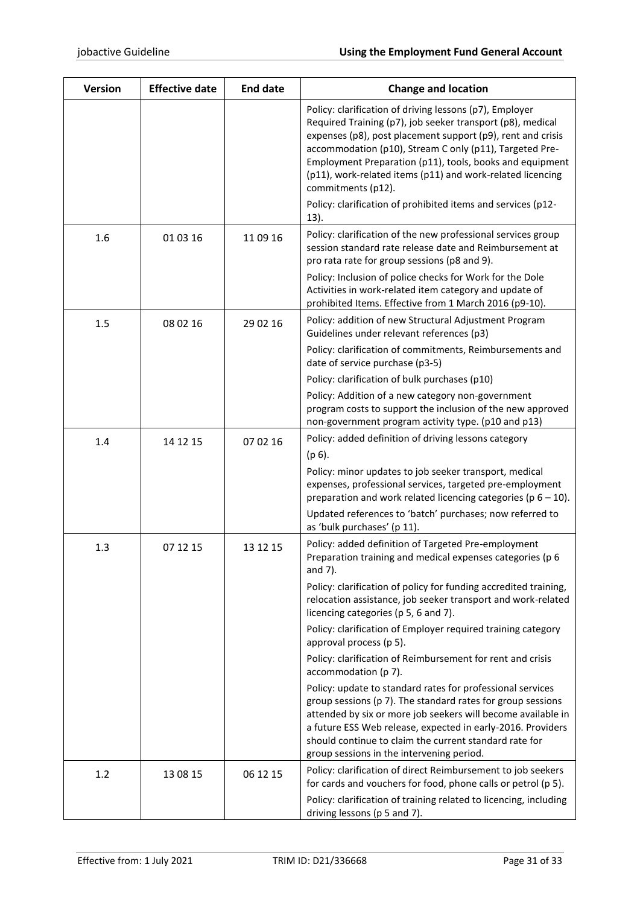| <b>Version</b> | <b>Effective date</b> | <b>End date</b> | <b>Change and location</b>                                                                                                                                                                                                                                                                                                                                                                      |
|----------------|-----------------------|-----------------|-------------------------------------------------------------------------------------------------------------------------------------------------------------------------------------------------------------------------------------------------------------------------------------------------------------------------------------------------------------------------------------------------|
|                |                       |                 | Policy: clarification of driving lessons (p7), Employer<br>Required Training (p7), job seeker transport (p8), medical<br>expenses (p8), post placement support (p9), rent and crisis<br>accommodation (p10), Stream C only (p11), Targeted Pre-<br>Employment Preparation (p11), tools, books and equipment<br>(p11), work-related items (p11) and work-related licencing<br>commitments (p12). |
|                |                       |                 | Policy: clarification of prohibited items and services (p12-<br>13).                                                                                                                                                                                                                                                                                                                            |
| 1.6            | 01 03 16              | 11 09 16        | Policy: clarification of the new professional services group<br>session standard rate release date and Reimbursement at<br>pro rata rate for group sessions (p8 and 9).                                                                                                                                                                                                                         |
|                |                       |                 | Policy: Inclusion of police checks for Work for the Dole<br>Activities in work-related item category and update of<br>prohibited Items. Effective from 1 March 2016 (p9-10).                                                                                                                                                                                                                    |
| 1.5            | 08 02 16              | 29 02 16        | Policy: addition of new Structural Adjustment Program<br>Guidelines under relevant references (p3)                                                                                                                                                                                                                                                                                              |
|                |                       |                 | Policy: clarification of commitments, Reimbursements and<br>date of service purchase (p3-5)                                                                                                                                                                                                                                                                                                     |
|                |                       |                 | Policy: clarification of bulk purchases (p10)                                                                                                                                                                                                                                                                                                                                                   |
|                |                       |                 | Policy: Addition of a new category non-government<br>program costs to support the inclusion of the new approved<br>non-government program activity type. (p10 and p13)                                                                                                                                                                                                                          |
| 1.4            | 14 12 15              | 07 02 16        | Policy: added definition of driving lessons category                                                                                                                                                                                                                                                                                                                                            |
|                |                       |                 | $(p 6)$ .                                                                                                                                                                                                                                                                                                                                                                                       |
|                |                       |                 | Policy: minor updates to job seeker transport, medical<br>expenses, professional services, targeted pre-employment<br>preparation and work related licencing categories ( $p_0 = 10$ ).                                                                                                                                                                                                         |
|                |                       |                 | Updated references to 'batch' purchases; now referred to<br>as 'bulk purchases' (p 11).                                                                                                                                                                                                                                                                                                         |
| 1.3            | 07 12 15              | 13 12 15        | Policy: added definition of Targeted Pre-employment<br>Preparation training and medical expenses categories (p 6<br>and 7).                                                                                                                                                                                                                                                                     |
|                |                       |                 | Policy: clarification of policy for funding accredited training,<br>relocation assistance, job seeker transport and work-related<br>licencing categories (p 5, 6 and 7).                                                                                                                                                                                                                        |
|                |                       |                 | Policy: clarification of Employer required training category<br>approval process (p 5).                                                                                                                                                                                                                                                                                                         |
|                |                       |                 | Policy: clarification of Reimbursement for rent and crisis<br>accommodation (p 7).                                                                                                                                                                                                                                                                                                              |
|                |                       |                 | Policy: update to standard rates for professional services<br>group sessions (p 7). The standard rates for group sessions<br>attended by six or more job seekers will become available in<br>a future ESS Web release, expected in early-2016. Providers<br>should continue to claim the current standard rate for<br>group sessions in the intervening period.                                 |
| 1.2            | 13 08 15              | 06 12 15        | Policy: clarification of direct Reimbursement to job seekers<br>for cards and vouchers for food, phone calls or petrol (p 5).                                                                                                                                                                                                                                                                   |
|                |                       |                 | Policy: clarification of training related to licencing, including<br>driving lessons (p 5 and 7).                                                                                                                                                                                                                                                                                               |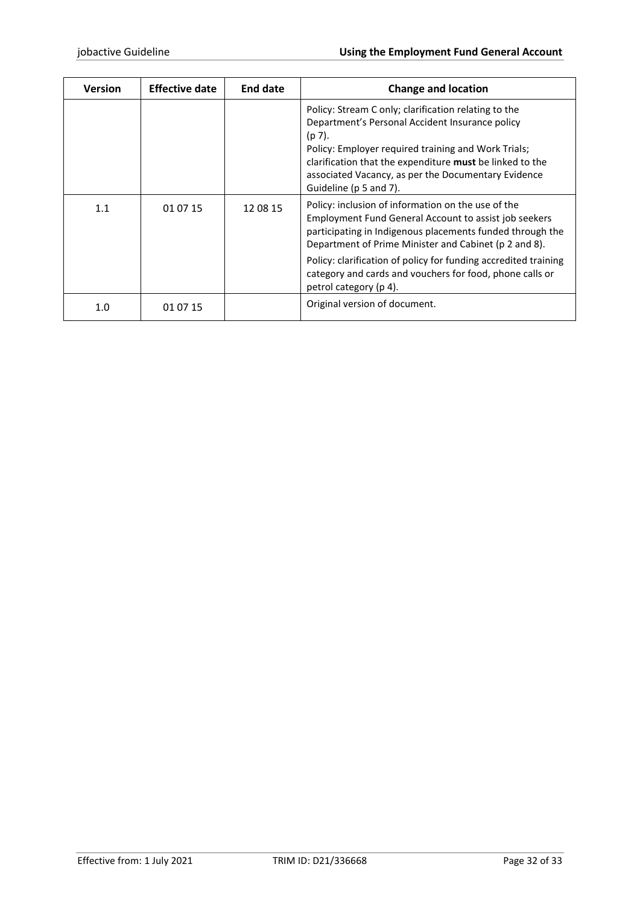| <b>Version</b> | <b>Effective date</b> | <b>End date</b> | <b>Change and location</b>                                                                                                                                                                                                                                                                                                                                                                        |
|----------------|-----------------------|-----------------|---------------------------------------------------------------------------------------------------------------------------------------------------------------------------------------------------------------------------------------------------------------------------------------------------------------------------------------------------------------------------------------------------|
|                |                       |                 | Policy: Stream C only; clarification relating to the<br>Department's Personal Accident Insurance policy<br>$(p 7)$ .<br>Policy: Employer required training and Work Trials;<br>clarification that the expenditure must be linked to the<br>associated Vacancy, as per the Documentary Evidence<br>Guideline (p 5 and 7).                                                                          |
| 1.1            | 01 07 15              | 12 08 15        | Policy: inclusion of information on the use of the<br><b>Employment Fund General Account to assist job seekers</b><br>participating in Indigenous placements funded through the<br>Department of Prime Minister and Cabinet (p 2 and 8).<br>Policy: clarification of policy for funding accredited training<br>category and cards and vouchers for food, phone calls or<br>petrol category (p 4). |
| 1.0            | 01 07 15              |                 | Original version of document.                                                                                                                                                                                                                                                                                                                                                                     |